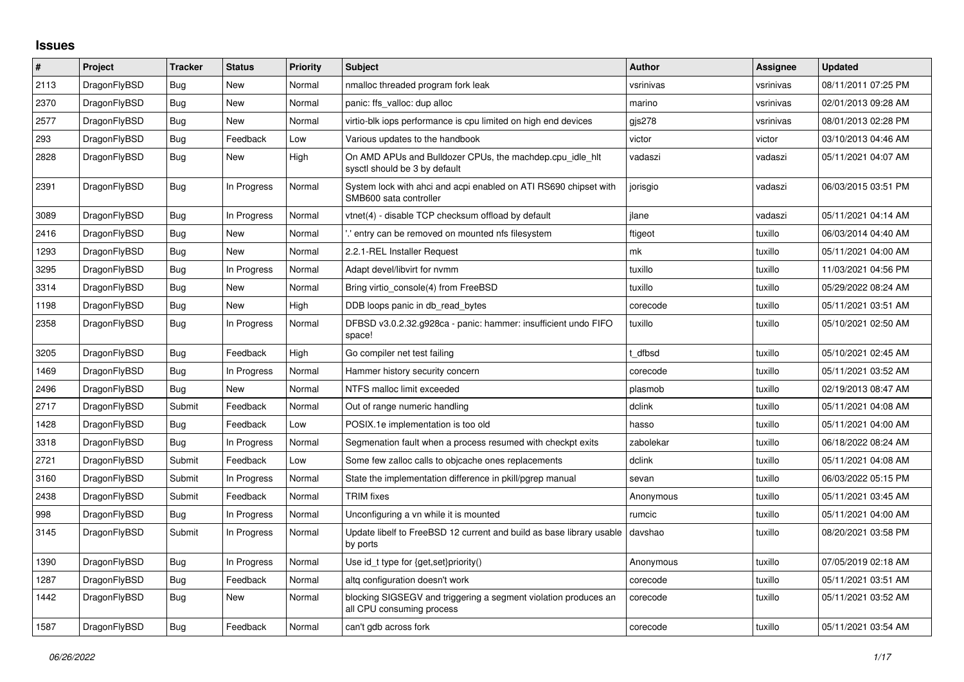## **Issues**

| $\pmb{\sharp}$ | Project      | <b>Tracker</b> | <b>Status</b> | <b>Priority</b> | <b>Subject</b>                                                                               | <b>Author</b> | Assignee  | <b>Updated</b>      |
|----------------|--------------|----------------|---------------|-----------------|----------------------------------------------------------------------------------------------|---------------|-----------|---------------------|
| 2113           | DragonFlyBSD | Bug            | <b>New</b>    | Normal          | nmalloc threaded program fork leak                                                           | vsrinivas     | vsrinivas | 08/11/2011 07:25 PM |
| 2370           | DragonFlyBSD | <b>Bug</b>     | <b>New</b>    | Normal          | panic: ffs valloc: dup alloc                                                                 | marino        | vsrinivas | 02/01/2013 09:28 AM |
| 2577           | DragonFlyBSD | Bug            | <b>New</b>    | Normal          | virtio-blk iops performance is cpu limited on high end devices                               | gis278        | vsrinivas | 08/01/2013 02:28 PM |
| 293            | DragonFlyBSD | <b>Bug</b>     | Feedback      | Low             | Various updates to the handbook                                                              | victor        | victor    | 03/10/2013 04:46 AM |
| 2828           | DragonFlyBSD | Bug            | <b>New</b>    | High            | On AMD APUs and Bulldozer CPUs, the machdep.cpu idle hit<br>sysctl should be 3 by default    | vadaszi       | vadaszi   | 05/11/2021 04:07 AM |
| 2391           | DragonFlyBSD | <b>Bug</b>     | In Progress   | Normal          | System lock with ahci and acpi enabled on ATI RS690 chipset with<br>SMB600 sata controller   | jorisgio      | vadaszi   | 06/03/2015 03:51 PM |
| 3089           | DragonFlyBSD | Bug            | In Progress   | Normal          | vtnet(4) - disable TCP checksum offload by default                                           | jlane         | vadaszi   | 05/11/2021 04:14 AM |
| 2416           | DragonFlyBSD | <b>Bug</b>     | <b>New</b>    | Normal          | ".' entry can be removed on mounted nfs filesystem                                           | ftigeot       | tuxillo   | 06/03/2014 04:40 AM |
| 1293           | DragonFlyBSD | Bug            | New           | Normal          | 2.2.1-REL Installer Request                                                                  | mk            | tuxillo   | 05/11/2021 04:00 AM |
| 3295           | DragonFlyBSD | Bug            | In Progress   | Normal          | Adapt devel/libvirt for nymm                                                                 | tuxillo       | tuxillo   | 11/03/2021 04:56 PM |
| 3314           | DragonFlyBSD | Bug            | <b>New</b>    | Normal          | Bring virtio console(4) from FreeBSD                                                         | tuxillo       | tuxillo   | 05/29/2022 08:24 AM |
| 1198           | DragonFlyBSD | Bug            | <b>New</b>    | High            | DDB loops panic in db read bytes                                                             | corecode      | tuxillo   | 05/11/2021 03:51 AM |
| 2358           | DragonFlyBSD | Bug            | In Progress   | Normal          | DFBSD v3.0.2.32.g928ca - panic: hammer: insufficient undo FIFO<br>space!                     | tuxillo       | tuxillo   | 05/10/2021 02:50 AM |
| 3205           | DragonFlyBSD | <b>Bug</b>     | Feedback      | High            | Go compiler net test failing                                                                 | t dfbsd       | tuxillo   | 05/10/2021 02:45 AM |
| 1469           | DragonFlyBSD | <b>Bug</b>     | In Progress   | Normal          | Hammer history security concern                                                              | corecode      | tuxillo   | 05/11/2021 03:52 AM |
| 2496           | DragonFlyBSD | Bug            | <b>New</b>    | Normal          | NTFS malloc limit exceeded                                                                   | plasmob       | tuxillo   | 02/19/2013 08:47 AM |
| 2717           | DragonFlyBSD | Submit         | Feedback      | Normal          | Out of range numeric handling                                                                | dclink        | tuxillo   | 05/11/2021 04:08 AM |
| 1428           | DragonFlyBSD | <b>Bug</b>     | Feedback      | Low             | POSIX.1e implementation is too old                                                           | hasso         | tuxillo   | 05/11/2021 04:00 AM |
| 3318           | DragonFlyBSD | Bug            | In Progress   | Normal          | Segmenation fault when a process resumed with checkpt exits                                  | zabolekar     | tuxillo   | 06/18/2022 08:24 AM |
| 2721           | DragonFlyBSD | Submit         | Feedback      | Low             | Some few zalloc calls to objcache ones replacements                                          | dclink        | tuxillo   | 05/11/2021 04:08 AM |
| 3160           | DragonFlyBSD | Submit         | In Progress   | Normal          | State the implementation difference in pkill/pgrep manual                                    | sevan         | tuxillo   | 06/03/2022 05:15 PM |
| 2438           | DragonFlyBSD | Submit         | Feedback      | Normal          | <b>TRIM</b> fixes                                                                            | Anonymous     | tuxillo   | 05/11/2021 03:45 AM |
| 998            | DragonFlyBSD | Bug            | In Progress   | Normal          | Unconfiguring a vn while it is mounted                                                       | rumcic        | tuxillo   | 05/11/2021 04:00 AM |
| 3145           | DragonFlyBSD | Submit         | In Progress   | Normal          | Update libelf to FreeBSD 12 current and build as base library usable<br>by ports             | davshao       | tuxillo   | 08/20/2021 03:58 PM |
| 1390           | DragonFlyBSD | Bug            | In Progress   | Normal          | Use id_t type for {get,set}priority()                                                        | Anonymous     | tuxillo   | 07/05/2019 02:18 AM |
| 1287           | DragonFlyBSD | Bug            | Feedback      | Normal          | altg configuration doesn't work                                                              | corecode      | tuxillo   | 05/11/2021 03:51 AM |
| 1442           | DragonFlyBSD | Bug            | <b>New</b>    | Normal          | blocking SIGSEGV and triggering a segment violation produces an<br>all CPU consuming process | corecode      | tuxillo   | 05/11/2021 03:52 AM |
| 1587           | DragonFlyBSD | Bug            | Feedback      | Normal          | can't gdb across fork                                                                        | corecode      | tuxillo   | 05/11/2021 03:54 AM |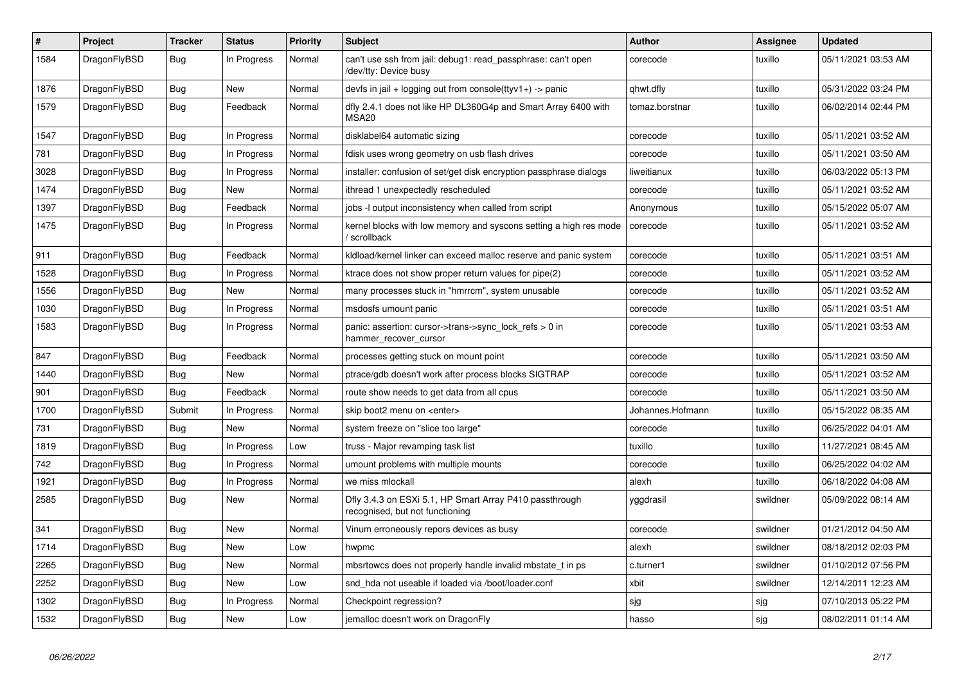| $\#$ | <b>Project</b> | <b>Tracker</b> | <b>Status</b> | <b>Priority</b> | <b>Subject</b>                                                                             | <b>Author</b>    | Assignee | <b>Updated</b>      |
|------|----------------|----------------|---------------|-----------------|--------------------------------------------------------------------------------------------|------------------|----------|---------------------|
| 1584 | DragonFlyBSD   | <b>Bug</b>     | In Progress   | Normal          | can't use ssh from jail: debug1: read passphrase: can't open<br>dev/tty: Device busy/      | corecode         | tuxillo  | 05/11/2021 03:53 AM |
| 1876 | DragonFlyBSD   | Bug            | <b>New</b>    | Normal          | devfs in jail + logging out from console(ttyv1+) -> panic                                  | qhwt.dfly        | tuxillo  | 05/31/2022 03:24 PM |
| 1579 | DragonFlyBSD   | <b>Bug</b>     | Feedback      | Normal          | dfly 2.4.1 does not like HP DL360G4p and Smart Array 6400 with<br><b>MSA20</b>             | tomaz.borstnar   | tuxillo  | 06/02/2014 02:44 PM |
| 1547 | DragonFlyBSD   | Bug            | In Progress   | Normal          | disklabel64 automatic sizing                                                               | corecode         | tuxillo  | 05/11/2021 03:52 AM |
| 781  | DragonFlyBSD   | Bug            | In Progress   | Normal          | fdisk uses wrong geometry on usb flash drives                                              | corecode         | tuxillo  | 05/11/2021 03:50 AM |
| 3028 | DragonFlyBSD   | <b>Bug</b>     | In Progress   | Normal          | installer: confusion of set/get disk encryption passphrase dialogs                         | liweitianux      | tuxillo  | 06/03/2022 05:13 PM |
| 1474 | DragonFlyBSD   | <b>Bug</b>     | <b>New</b>    | Normal          | ithread 1 unexpectedly rescheduled                                                         | corecode         | tuxillo  | 05/11/2021 03:52 AM |
| 1397 | DragonFlyBSD   | Bug            | Feedback      | Normal          | jobs -I output inconsistency when called from script                                       | Anonymous        | tuxillo  | 05/15/2022 05:07 AM |
| 1475 | DragonFlyBSD   | <b>Bug</b>     | In Progress   | Normal          | kernel blocks with low memory and syscons setting a high res mode<br>' scrollback          | corecode         | tuxillo  | 05/11/2021 03:52 AM |
| 911  | DragonFlyBSD   | Bug            | Feedback      | Normal          | kldload/kernel linker can exceed malloc reserve and panic system                           | corecode         | tuxillo  | 05/11/2021 03:51 AM |
| 1528 | DragonFlyBSD   | Bug            | In Progress   | Normal          | ktrace does not show proper return values for pipe(2)                                      | corecode         | tuxillo  | 05/11/2021 03:52 AM |
| 1556 | DragonFlyBSD   | <b>Bug</b>     | New           | Normal          | many processes stuck in "hmrrcm", system unusable                                          | corecode         | tuxillo  | 05/11/2021 03:52 AM |
| 1030 | DragonFlyBSD   | <b>Bug</b>     | In Progress   | Normal          | msdosfs umount panic                                                                       | corecode         | tuxillo  | 05/11/2021 03:51 AM |
| 1583 | DragonFlyBSD   | Bug            | In Progress   | Normal          | panic: assertion: cursor->trans->sync lock refs $> 0$ in<br>hammer_recover_cursor          | corecode         | tuxillo  | 05/11/2021 03:53 AM |
| 847  | DragonFlyBSD   | <b>Bug</b>     | Feedback      | Normal          | processes getting stuck on mount point                                                     | corecode         | tuxillo  | 05/11/2021 03:50 AM |
| 1440 | DragonFlyBSD   | Bug            | <b>New</b>    | Normal          | ptrace/gdb doesn't work after process blocks SIGTRAP                                       | corecode         | tuxillo  | 05/11/2021 03:52 AM |
| 901  | DragonFlyBSD   | Bug            | Feedback      | Normal          | route show needs to get data from all cpus                                                 | corecode         | tuxillo  | 05/11/2021 03:50 AM |
| 1700 | DragonFlyBSD   | Submit         | In Progress   | Normal          | skip boot2 menu on <enter></enter>                                                         | Johannes.Hofmann | tuxillo  | 05/15/2022 08:35 AM |
| 731  | DragonFlyBSD   | Bug            | <b>New</b>    | Normal          | system freeze on "slice too large"                                                         | corecode         | tuxillo  | 06/25/2022 04:01 AM |
| 1819 | DragonFlyBSD   | Bug            | In Progress   | Low             | truss - Major revamping task list                                                          | tuxillo          | tuxillo  | 11/27/2021 08:45 AM |
| 742  | DragonFlyBSD   | <b>Bug</b>     | In Progress   | Normal          | umount problems with multiple mounts                                                       | corecode         | tuxillo  | 06/25/2022 04:02 AM |
| 1921 | DragonFlyBSD   | <b>Bug</b>     | In Progress   | Normal          | we miss mlockall                                                                           | alexh            | tuxillo  | 06/18/2022 04:08 AM |
| 2585 | DragonFlyBSD   | Bug            | New           | Normal          | Dfly 3.4.3 on ESXi 5.1, HP Smart Array P410 passthrough<br>recognised, but not functioning | yggdrasil        | swildner | 05/09/2022 08:14 AM |
| 341  | DragonFlyBSD   | <b>Bug</b>     | <b>New</b>    | Normal          | Vinum erroneously repors devices as busy                                                   | corecode         | swildner | 01/21/2012 04:50 AM |
| 1714 | DragonFlyBSD   | Bug            | New           | Low             | hwpmc                                                                                      | alexh            | swildner | 08/18/2012 02:03 PM |
| 2265 | DragonFlyBSD   | <b>Bug</b>     | New           | Normal          | mbsrtowcs does not properly handle invalid mbstate t in ps                                 | c.turner1        | swildner | 01/10/2012 07:56 PM |
| 2252 | DragonFlyBSD   | Bug            | New           | Low             | snd hda not useable if loaded via /boot/loader.conf                                        | xbit             | swildner | 12/14/2011 12:23 AM |
| 1302 | DragonFlyBSD   | Bug            | In Progress   | Normal          | Checkpoint regression?                                                                     | sjg              | sjg      | 07/10/2013 05:22 PM |
| 1532 | DragonFlyBSD   | Bug            | <b>New</b>    | Low             | jemalloc doesn't work on DragonFly                                                         | hasso            | sjg      | 08/02/2011 01:14 AM |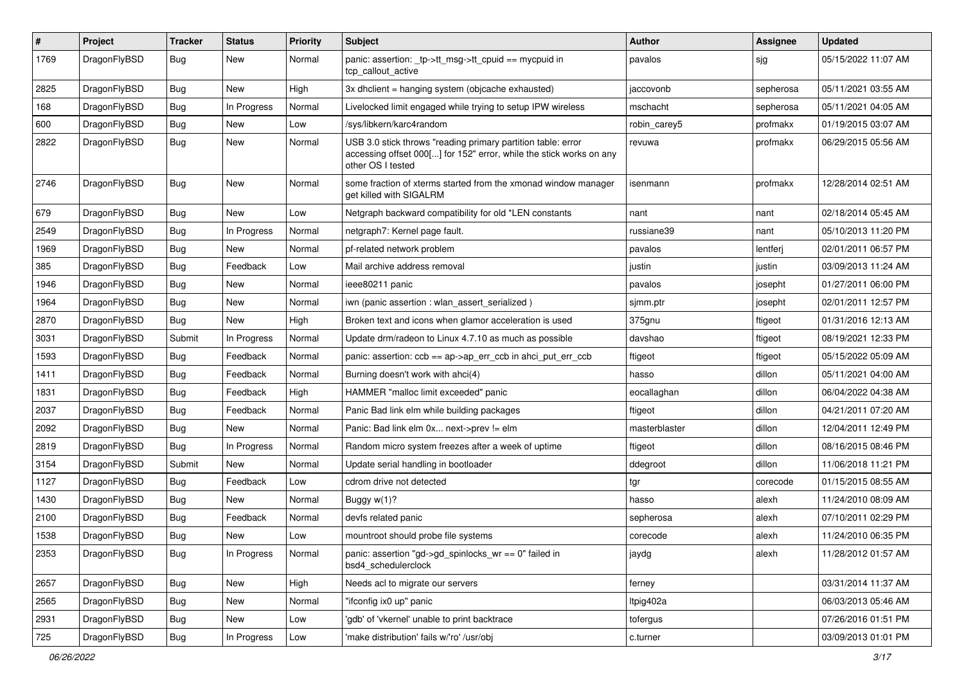| #    | Project      | <b>Tracker</b> | <b>Status</b> | <b>Priority</b> | <b>Subject</b>                                                                                                                                           | Author        | <b>Assignee</b> | <b>Updated</b>      |
|------|--------------|----------------|---------------|-----------------|----------------------------------------------------------------------------------------------------------------------------------------------------------|---------------|-----------------|---------------------|
| 1769 | DragonFlyBSD | <b>Bug</b>     | New           | Normal          | panic: assertion: _tp->tt_msg->tt_cpuid == mycpuid in<br>tcp callout active                                                                              | pavalos       | sjg             | 05/15/2022 11:07 AM |
| 2825 | DragonFlyBSD | <b>Bug</b>     | New           | High            | $3x$ dhclient = hanging system (objcache exhausted)                                                                                                      | jaccovonb     | sepherosa       | 05/11/2021 03:55 AM |
| 168  | DragonFlyBSD | <b>Bug</b>     | In Progress   | Normal          | Livelocked limit engaged while trying to setup IPW wireless                                                                                              | mschacht      | sepherosa       | 05/11/2021 04:05 AM |
| 600  | DragonFlyBSD | <b>Bug</b>     | New           | Low             | /sys/libkern/karc4random                                                                                                                                 | robin_carey5  | profmakx        | 01/19/2015 03:07 AM |
| 2822 | DragonFlyBSD | <b>Bug</b>     | <b>New</b>    | Normal          | USB 3.0 stick throws "reading primary partition table: error<br>accessing offset 000[] for 152" error, while the stick works on any<br>other OS I tested | revuwa        | profmakx        | 06/29/2015 05:56 AM |
| 2746 | DragonFlyBSD | Bug            | New           | Normal          | some fraction of xterms started from the xmonad window manager<br>get killed with SIGALRM                                                                | isenmann      | profmakx        | 12/28/2014 02:51 AM |
| 679  | DragonFlyBSD | <b>Bug</b>     | New           | Low             | Netgraph backward compatibility for old *LEN constants                                                                                                   | nant          | nant            | 02/18/2014 05:45 AM |
| 2549 | DragonFlyBSD | <b>Bug</b>     | In Progress   | Normal          | netgraph7: Kernel page fault.                                                                                                                            | russiane39    | nant            | 05/10/2013 11:20 PM |
| 1969 | DragonFlyBSD | Bug            | New           | Normal          | pf-related network problem                                                                                                                               | pavalos       | lentferj        | 02/01/2011 06:57 PM |
| 385  | DragonFlyBSD | Bug            | Feedback      | Low             | Mail archive address removal                                                                                                                             | justin        | justin          | 03/09/2013 11:24 AM |
| 1946 | DragonFlyBSD | Bug            | New           | Normal          | ieee80211 panic                                                                                                                                          | pavalos       | josepht         | 01/27/2011 06:00 PM |
| 1964 | DragonFlyBSD | Bug            | New           | Normal          | iwn (panic assertion : wlan assert serialized)                                                                                                           | sjmm.ptr      | josepht         | 02/01/2011 12:57 PM |
| 2870 | DragonFlyBSD | Bug            | New           | High            | Broken text and icons when glamor acceleration is used                                                                                                   | 375gnu        | ftigeot         | 01/31/2016 12:13 AM |
| 3031 | DragonFlyBSD | Submit         | In Progress   | Normal          | Update drm/radeon to Linux 4.7.10 as much as possible                                                                                                    | davshao       | ftigeot         | 08/19/2021 12:33 PM |
| 1593 | DragonFlyBSD | Bug            | Feedback      | Normal          | panic: assertion: $\cosh ==$ ap->ap err $\cosh$ in ahci put err $\cosh$                                                                                  | ftigeot       | ftigeot         | 05/15/2022 05:09 AM |
| 1411 | DragonFlyBSD | Bug            | Feedback      | Normal          | Burning doesn't work with ahci(4)                                                                                                                        | hasso         | dillon          | 05/11/2021 04:00 AM |
| 1831 | DragonFlyBSD | <b>Bug</b>     | Feedback      | High            | HAMMER "malloc limit exceeded" panic                                                                                                                     | eocallaghan   | dillon          | 06/04/2022 04:38 AM |
| 2037 | DragonFlyBSD | Bug            | Feedback      | Normal          | Panic Bad link elm while building packages                                                                                                               | ftigeot       | dillon          | 04/21/2011 07:20 AM |
| 2092 | DragonFlyBSD | Bug            | New           | Normal          | Panic: Bad link elm 0x next->prev != elm                                                                                                                 | masterblaster | dillon          | 12/04/2011 12:49 PM |
| 2819 | DragonFlyBSD | Bug            | In Progress   | Normal          | Random micro system freezes after a week of uptime                                                                                                       | ftigeot       | dillon          | 08/16/2015 08:46 PM |
| 3154 | DragonFlyBSD | Submit         | New           | Normal          | Update serial handling in bootloader                                                                                                                     | ddegroot      | dillon          | 11/06/2018 11:21 PM |
| 1127 | DragonFlyBSD | Bug            | Feedback      | Low             | cdrom drive not detected                                                                                                                                 | tgr           | corecode        | 01/15/2015 08:55 AM |
| 1430 | DragonFlyBSD | <b>Bug</b>     | New           | Normal          | Buggy w(1)?                                                                                                                                              | hasso         | alexh           | 11/24/2010 08:09 AM |
| 2100 | DragonFlyBSD | Bug            | Feedback      | Normal          | devfs related panic                                                                                                                                      | sepherosa     | alexh           | 07/10/2011 02:29 PM |
| 1538 | DragonFlyBSD | <b>Bug</b>     | New           | Low             | mountroot should probe file systems                                                                                                                      | corecode      | alexh           | 11/24/2010 06:35 PM |
| 2353 | DragonFlyBSD | <b>Bug</b>     | In Progress   | Normal          | panic: assertion "gd->gd_spinlocks_wr == 0" failed in<br>bsd4_schedulerclock                                                                             | jaydg         | alexh           | 11/28/2012 01:57 AM |
| 2657 | DragonFlyBSD | <b>Bug</b>     | <b>New</b>    | High            | Needs acl to migrate our servers                                                                                                                         | ferney        |                 | 03/31/2014 11:37 AM |
| 2565 | DragonFlyBSD | Bug            | New           | Normal          | "ifconfig ix0 up" panic                                                                                                                                  | ltpig402a     |                 | 06/03/2013 05:46 AM |
| 2931 | DragonFlyBSD | <b>Bug</b>     | New           | Low             | 'gdb' of 'vkernel' unable to print backtrace                                                                                                             | tofergus      |                 | 07/26/2016 01:51 PM |
| 725  | DragonFlyBSD | <b>Bug</b>     | In Progress   | Low             | 'make distribution' fails w/'ro' /usr/obj                                                                                                                | c.turner      |                 | 03/09/2013 01:01 PM |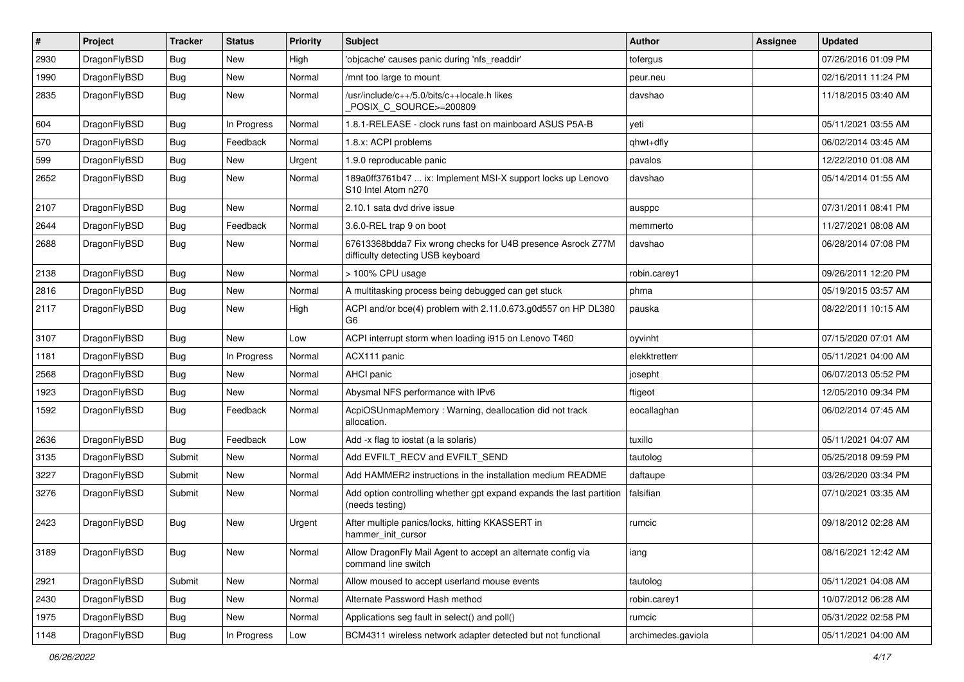| $\sharp$ | Project      | <b>Tracker</b> | <b>Status</b> | <b>Priority</b> | Subject                                                                                          | Author             | Assignee | <b>Updated</b>      |
|----------|--------------|----------------|---------------|-----------------|--------------------------------------------------------------------------------------------------|--------------------|----------|---------------------|
| 2930     | DragonFlyBSD | Bug            | New           | High            | 'objcache' causes panic during 'nfs readdir'                                                     | tofergus           |          | 07/26/2016 01:09 PM |
| 1990     | DragonFlyBSD | <b>Bug</b>     | New           | Normal          | /mnt too large to mount                                                                          | peur.neu           |          | 02/16/2011 11:24 PM |
| 2835     | DragonFlyBSD | Bug            | <b>New</b>    | Normal          | /usr/include/c++/5.0/bits/c++locale.h likes<br>POSIX_C_SOURCE>=200809                            | davshao            |          | 11/18/2015 03:40 AM |
| 604      | DragonFlyBSD | Bug            | In Progress   | Normal          | 1.8.1-RELEASE - clock runs fast on mainboard ASUS P5A-B                                          | yeti               |          | 05/11/2021 03:55 AM |
| 570      | DragonFlyBSD | Bug            | Feedback      | Normal          | 1.8.x: ACPI problems                                                                             | qhwt+dfly          |          | 06/02/2014 03:45 AM |
| 599      | DragonFlyBSD | Bug            | <b>New</b>    | Urgent          | 1.9.0 reproducable panic                                                                         | pavalos            |          | 12/22/2010 01:08 AM |
| 2652     | DragonFlyBSD | Bug            | <b>New</b>    | Normal          | 189a0ff3761b47  ix: Implement MSI-X support locks up Lenovo<br>S10 Intel Atom n270               | davshao            |          | 05/14/2014 01:55 AM |
| 2107     | DragonFlyBSD | Bug            | New           | Normal          | 2.10.1 sata dvd drive issue                                                                      | ausppc             |          | 07/31/2011 08:41 PM |
| 2644     | DragonFlyBSD | Bug            | Feedback      | Normal          | 3.6.0-REL trap 9 on boot                                                                         | memmerto           |          | 11/27/2021 08:08 AM |
| 2688     | DragonFlyBSD | Bug            | <b>New</b>    | Normal          | 67613368bdda7 Fix wrong checks for U4B presence Asrock Z77M<br>difficulty detecting USB keyboard | davshao            |          | 06/28/2014 07:08 PM |
| 2138     | DragonFlyBSD | Bug            | New           | Normal          | > 100% CPU usage                                                                                 | robin.carey1       |          | 09/26/2011 12:20 PM |
| 2816     | DragonFlyBSD | Bug            | New           | Normal          | A multitasking process being debugged can get stuck                                              | phma               |          | 05/19/2015 03:57 AM |
| 2117     | DragonFlyBSD | Bug            | <b>New</b>    | High            | ACPI and/or bce(4) problem with 2.11.0.673.g0d557 on HP DL380<br>G <sub>6</sub>                  | pauska             |          | 08/22/2011 10:15 AM |
| 3107     | DragonFlyBSD | <b>Bug</b>     | <b>New</b>    | Low             | ACPI interrupt storm when loading i915 on Lenovo T460                                            | oyvinht            |          | 07/15/2020 07:01 AM |
| 1181     | DragonFlyBSD | Bug            | In Progress   | Normal          | ACX111 panic                                                                                     | elekktretterr      |          | 05/11/2021 04:00 AM |
| 2568     | DragonFlyBSD | Bug            | New           | Normal          | AHCI panic                                                                                       | josepht            |          | 06/07/2013 05:52 PM |
| 1923     | DragonFlyBSD | Bug            | New           | Normal          | Abysmal NFS performance with IPv6                                                                | ftigeot            |          | 12/05/2010 09:34 PM |
| 1592     | DragonFlyBSD | Bug            | Feedback      | Normal          | AcpiOSUnmapMemory: Warning, deallocation did not track<br>allocation.                            | eocallaghan        |          | 06/02/2014 07:45 AM |
| 2636     | DragonFlyBSD | Bug            | Feedback      | Low             | Add -x flag to iostat (a la solaris)                                                             | tuxillo            |          | 05/11/2021 04:07 AM |
| 3135     | DragonFlyBSD | Submit         | New           | Normal          | Add EVFILT_RECV and EVFILT_SEND                                                                  | tautolog           |          | 05/25/2018 09:59 PM |
| 3227     | DragonFlyBSD | Submit         | New           | Normal          | Add HAMMER2 instructions in the installation medium README                                       | daftaupe           |          | 03/26/2020 03:34 PM |
| 3276     | DragonFlyBSD | Submit         | New           | Normal          | Add option controlling whether gpt expand expands the last partition<br>(needs testing)          | falsifian          |          | 07/10/2021 03:35 AM |
| 2423     | DragonFlyBSD | <b>Bug</b>     | New           | Urgent          | After multiple panics/locks, hitting KKASSERT in<br>hammer_init_cursor                           | rumcic             |          | 09/18/2012 02:28 AM |
| 3189     | DragonFlyBSD | <b>Bug</b>     | New           | Normal          | Allow DragonFly Mail Agent to accept an alternate config via<br>command line switch              | iang               |          | 08/16/2021 12:42 AM |
| 2921     | DragonFlyBSD | Submit         | New           | Normal          | Allow moused to accept userland mouse events                                                     | tautolog           |          | 05/11/2021 04:08 AM |
| 2430     | DragonFlyBSD | Bug            | New           | Normal          | Alternate Password Hash method                                                                   | robin.carey1       |          | 10/07/2012 06:28 AM |
| 1975     | DragonFlyBSD | Bug            | New           | Normal          | Applications seg fault in select() and poll()                                                    | rumcic             |          | 05/31/2022 02:58 PM |
| 1148     | DragonFlyBSD | <b>Bug</b>     | In Progress   | Low             | BCM4311 wireless network adapter detected but not functional                                     | archimedes.gaviola |          | 05/11/2021 04:00 AM |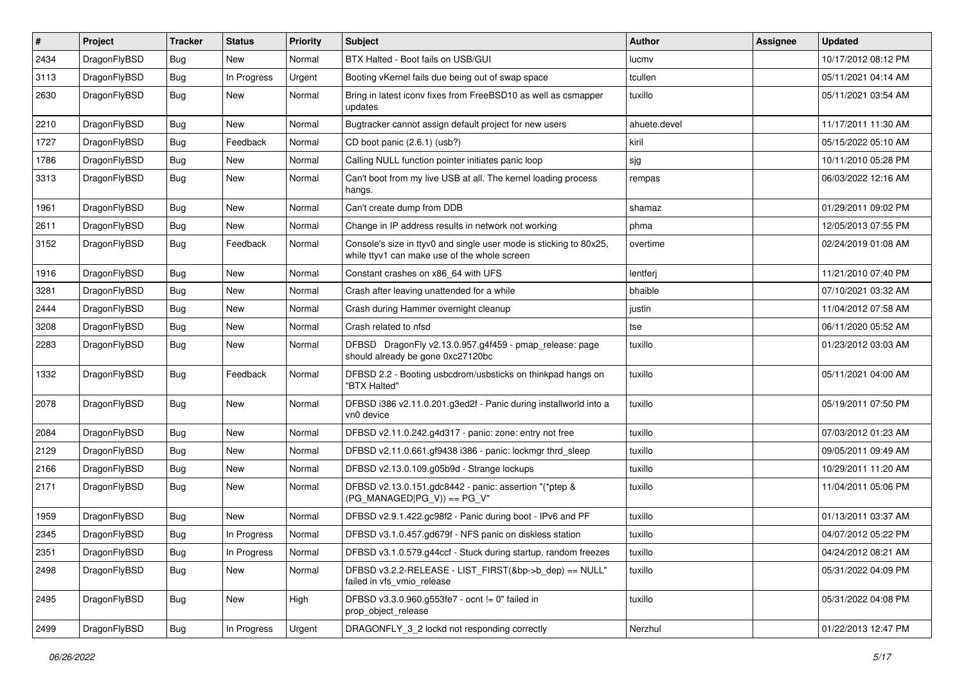| $\sharp$ | Project      | <b>Tracker</b> | <b>Status</b> | <b>Priority</b> | Subject                                                                                                            | Author       | Assignee | <b>Updated</b>      |
|----------|--------------|----------------|---------------|-----------------|--------------------------------------------------------------------------------------------------------------------|--------------|----------|---------------------|
| 2434     | DragonFlyBSD | Bug            | <b>New</b>    | Normal          | BTX Halted - Boot fails on USB/GUI                                                                                 | lucmv        |          | 10/17/2012 08:12 PM |
| 3113     | DragonFlyBSD | <b>Bug</b>     | In Progress   | Urgent          | Booting vKernel fails due being out of swap space                                                                  | tcullen      |          | 05/11/2021 04:14 AM |
| 2630     | DragonFlyBSD | Bug            | New           | Normal          | Bring in latest iconv fixes from FreeBSD10 as well as csmapper<br>updates                                          | tuxillo      |          | 05/11/2021 03:54 AM |
| 2210     | DragonFlyBSD | Bug            | <b>New</b>    | Normal          | Bugtracker cannot assign default project for new users                                                             | ahuete.devel |          | 11/17/2011 11:30 AM |
| 1727     | DragonFlyBSD | Bug            | Feedback      | Normal          | CD boot panic (2.6.1) (usb?)                                                                                       | kiril        |          | 05/15/2022 05:10 AM |
| 1786     | DragonFlyBSD | Bug            | <b>New</b>    | Normal          | Calling NULL function pointer initiates panic loop                                                                 | sjg          |          | 10/11/2010 05:28 PM |
| 3313     | DragonFlyBSD | Bug            | <b>New</b>    | Normal          | Can't boot from my live USB at all. The kernel loading process<br>hangs.                                           | rempas       |          | 06/03/2022 12:16 AM |
| 1961     | DragonFlyBSD | <b>Bug</b>     | New           | Normal          | Can't create dump from DDB                                                                                         | shamaz       |          | 01/29/2011 09:02 PM |
| 2611     | DragonFlyBSD | Bug            | New           | Normal          | Change in IP address results in network not working                                                                | phma         |          | 12/05/2013 07:55 PM |
| 3152     | DragonFlyBSD | Bug            | Feedback      | Normal          | Console's size in ttyv0 and single user mode is sticking to 80x25,<br>while ttyv1 can make use of the whole screen | overtime     |          | 02/24/2019 01:08 AM |
| 1916     | DragonFlyBSD | Bug            | <b>New</b>    | Normal          | Constant crashes on x86_64 with UFS                                                                                | lentferj     |          | 11/21/2010 07:40 PM |
| 3281     | DragonFlyBSD | Bug            | New           | Normal          | Crash after leaving unattended for a while                                                                         | bhaible      |          | 07/10/2021 03:32 AM |
| 2444     | DragonFlyBSD | Bug            | <b>New</b>    | Normal          | Crash during Hammer overnight cleanup                                                                              | justin       |          | 11/04/2012 07:58 AM |
| 3208     | DragonFlyBSD | Bug            | New           | Normal          | Crash related to nfsd                                                                                              | tse          |          | 06/11/2020 05:52 AM |
| 2283     | DragonFlyBSD | Bug            | New           | Normal          | DFBSD DragonFly v2.13.0.957.g4f459 - pmap_release: page<br>should already be gone 0xc27120bc                       | tuxillo      |          | 01/23/2012 03:03 AM |
| 1332     | DragonFlyBSD | Bug            | Feedback      | Normal          | DFBSD 2.2 - Booting usbcdrom/usbsticks on thinkpad hangs on<br>"BTX Halted"                                        | tuxillo      |          | 05/11/2021 04:00 AM |
| 2078     | DragonFlyBSD | Bug            | New           | Normal          | DFBSD i386 v2.11.0.201.g3ed2f - Panic during installworld into a<br>vn0 device                                     | tuxillo      |          | 05/19/2011 07:50 PM |
| 2084     | DragonFlyBSD | Bug            | <b>New</b>    | Normal          | DFBSD v2.11.0.242.g4d317 - panic: zone: entry not free                                                             | tuxillo      |          | 07/03/2012 01:23 AM |
| 2129     | DragonFlyBSD | Bug            | New           | Normal          | DFBSD v2.11.0.661.gf9438 i386 - panic: lockmgr thrd_sleep                                                          | tuxillo      |          | 09/05/2011 09:49 AM |
| 2166     | DragonFlyBSD | Bug            | <b>New</b>    | Normal          | DFBSD v2.13.0.109.g05b9d - Strange lockups                                                                         | tuxillo      |          | 10/29/2011 11:20 AM |
| 2171     | DragonFlyBSD | Bug            | New           | Normal          | DFBSD v2.13.0.151.gdc8442 - panic: assertion "(*ptep &<br>$(PG$ MANAGED PG V)) == PG V"                            | tuxillo      |          | 11/04/2011 05:06 PM |
| 1959     | DragonFlyBSD | Bug            | <b>New</b>    | Normal          | DFBSD v2.9.1.422.gc98f2 - Panic during boot - IPv6 and PF                                                          | tuxillo      |          | 01/13/2011 03:37 AM |
| 2345     | DragonFlyBSD | Bug            | In Progress   | Normal          | DFBSD v3.1.0.457.gd679f - NFS panic on diskless station                                                            | tuxillo      |          | 04/07/2012 05:22 PM |
| 2351     | DragonFlyBSD | <b>Bug</b>     | In Progress   | Normal          | DFBSD v3.1.0.579.g44ccf - Stuck during startup, random freezes                                                     | tuxillo      |          | 04/24/2012 08:21 AM |
| 2498     | DragonFlyBSD | <b>Bug</b>     | New           | Normal          | DFBSD v3.2.2-RELEASE - LIST_FIRST(&bp->b_dep) == NULL"<br>failed in vfs_vmio_release                               | tuxillo      |          | 05/31/2022 04:09 PM |
| 2495     | DragonFlyBSD | <b>Bug</b>     | New           | High            | DFBSD v3.3.0.960.g553fe7 - ocnt != 0" failed in<br>prop_object_release                                             | tuxillo      |          | 05/31/2022 04:08 PM |
| 2499     | DragonFlyBSD | <b>Bug</b>     | In Progress   | Urgent          | DRAGONFLY_3_2 lockd not responding correctly                                                                       | Nerzhul      |          | 01/22/2013 12:47 PM |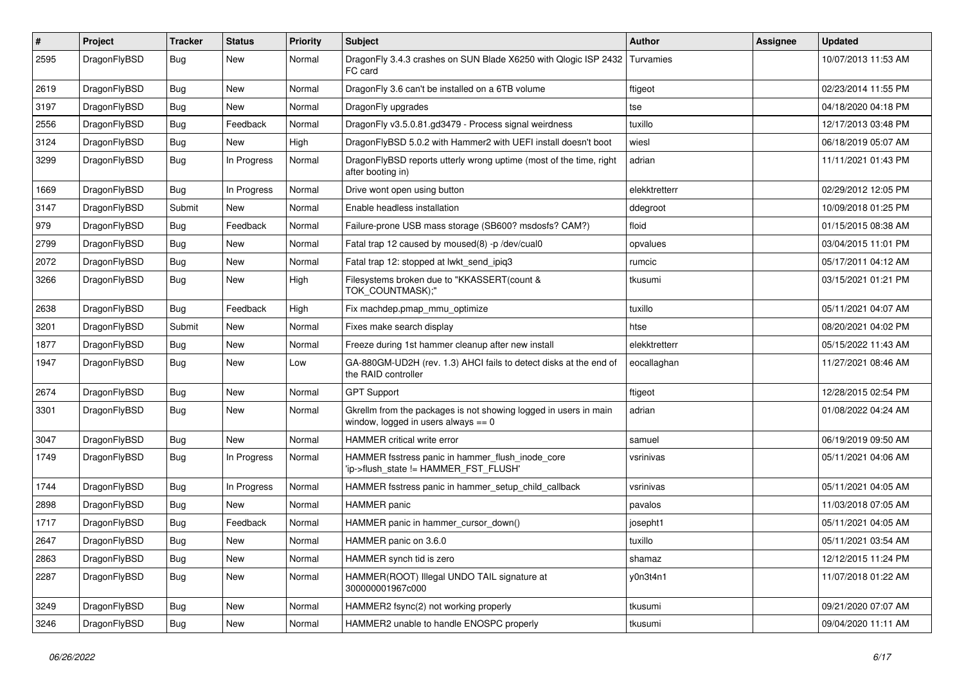| $\sharp$ | Project      | <b>Tracker</b> | <b>Status</b> | <b>Priority</b> | Subject                                                                                                   | <b>Author</b> | Assignee | <b>Updated</b>      |
|----------|--------------|----------------|---------------|-----------------|-----------------------------------------------------------------------------------------------------------|---------------|----------|---------------------|
| 2595     | DragonFlyBSD | Bug            | <b>New</b>    | Normal          | DragonFly 3.4.3 crashes on SUN Blade X6250 with Qlogic ISP 2432<br>FC card                                | Turvamies     |          | 10/07/2013 11:53 AM |
| 2619     | DragonFlyBSD | Bug            | <b>New</b>    | Normal          | DragonFly 3.6 can't be installed on a 6TB volume                                                          | ftigeot       |          | 02/23/2014 11:55 PM |
| 3197     | DragonFlyBSD | <b>Bug</b>     | New           | Normal          | DragonFly upgrades                                                                                        | tse           |          | 04/18/2020 04:18 PM |
| 2556     | DragonFlyBSD | Bug            | Feedback      | Normal          | DragonFly v3.5.0.81.gd3479 - Process signal weirdness                                                     | tuxillo       |          | 12/17/2013 03:48 PM |
| 3124     | DragonFlyBSD | <b>Bug</b>     | New           | High            | DragonFlyBSD 5.0.2 with Hammer2 with UEFI install doesn't boot                                            | wiesl         |          | 06/18/2019 05:07 AM |
| 3299     | DragonFlyBSD | <b>Bug</b>     | In Progress   | Normal          | DragonFlyBSD reports utterly wrong uptime (most of the time, right<br>after booting in)                   | adrian        |          | 11/11/2021 01:43 PM |
| 1669     | DragonFlyBSD | Bug            | In Progress   | Normal          | Drive wont open using button                                                                              | elekktretterr |          | 02/29/2012 12:05 PM |
| 3147     | DragonFlyBSD | Submit         | New           | Normal          | Enable headless installation                                                                              | ddegroot      |          | 10/09/2018 01:25 PM |
| 979      | DragonFlyBSD | Bug            | Feedback      | Normal          | Failure-prone USB mass storage (SB600? msdosfs? CAM?)                                                     | floid         |          | 01/15/2015 08:38 AM |
| 2799     | DragonFlyBSD | Bug            | <b>New</b>    | Normal          | Fatal trap 12 caused by moused(8) -p /dev/cual0                                                           | opvalues      |          | 03/04/2015 11:01 PM |
| 2072     | DragonFlyBSD | <b>Bug</b>     | <b>New</b>    | Normal          | Fatal trap 12: stopped at lwkt_send_ipiq3                                                                 | rumcic        |          | 05/17/2011 04:12 AM |
| 3266     | DragonFlyBSD | Bug            | <b>New</b>    | High            | Filesystems broken due to "KKASSERT(count &<br>TOK_COUNTMASK);"                                           | tkusumi       |          | 03/15/2021 01:21 PM |
| 2638     | DragonFlyBSD | Bug            | Feedback      | High            | Fix machdep.pmap mmu optimize                                                                             | tuxillo       |          | 05/11/2021 04:07 AM |
| 3201     | DragonFlyBSD | Submit         | <b>New</b>    | Normal          | Fixes make search display                                                                                 | htse          |          | 08/20/2021 04:02 PM |
| 1877     | DragonFlyBSD | Bug            | <b>New</b>    | Normal          | Freeze during 1st hammer cleanup after new install                                                        | elekktretterr |          | 05/15/2022 11:43 AM |
| 1947     | DragonFlyBSD | <b>Bug</b>     | <b>New</b>    | Low             | GA-880GM-UD2H (rev. 1.3) AHCI fails to detect disks at the end of<br>the RAID controller                  | eocallaghan   |          | 11/27/2021 08:46 AM |
| 2674     | DragonFlyBSD | Bug            | New           | Normal          | <b>GPT Support</b>                                                                                        | ftigeot       |          | 12/28/2015 02:54 PM |
| 3301     | DragonFlyBSD | Bug            | <b>New</b>    | Normal          | Gkrellm from the packages is not showing logged in users in main<br>window, logged in users always $== 0$ | adrian        |          | 01/08/2022 04:24 AM |
| 3047     | DragonFlyBSD | Bug            | New           | Normal          | HAMMER critical write error                                                                               | samuel        |          | 06/19/2019 09:50 AM |
| 1749     | DragonFlyBSD | <b>Bug</b>     | In Progress   | Normal          | HAMMER fsstress panic in hammer_flush_inode_core<br>'ip->flush_state != HAMMER_FST_FLUSH'                 | vsrinivas     |          | 05/11/2021 04:06 AM |
| 1744     | DragonFlyBSD | Bug            | In Progress   | Normal          | HAMMER fsstress panic in hammer_setup_child_callback                                                      | vsrinivas     |          | 05/11/2021 04:05 AM |
| 2898     | DragonFlyBSD | <b>Bug</b>     | New           | Normal          | HAMMER panic                                                                                              | pavalos       |          | 11/03/2018 07:05 AM |
| 1717     | DragonFlyBSD | Bug            | Feedback      | Normal          | HAMMER panic in hammer_cursor_down()                                                                      | josepht1      |          | 05/11/2021 04:05 AM |
| 2647     | DragonFlyBSD | <b>Bug</b>     | New           | Normal          | HAMMER panic on 3.6.0                                                                                     | tuxillo       |          | 05/11/2021 03:54 AM |
| 2863     | DragonFlyBSD | Bug            | New           | Normal          | HAMMER synch tid is zero                                                                                  | shamaz        |          | 12/12/2015 11:24 PM |
| 2287     | DragonFlyBSD | <b>Bug</b>     | New           | Normal          | HAMMER(ROOT) Illegal UNDO TAIL signature at<br>300000001967c000                                           | y0n3t4n1      |          | 11/07/2018 01:22 AM |
| 3249     | DragonFlyBSD | <b>Bug</b>     | New           | Normal          | HAMMER2 fsync(2) not working properly                                                                     | tkusumi       |          | 09/21/2020 07:07 AM |
| 3246     | DragonFlyBSD | <b>Bug</b>     | New           | Normal          | HAMMER2 unable to handle ENOSPC properly                                                                  | tkusumi       |          | 09/04/2020 11:11 AM |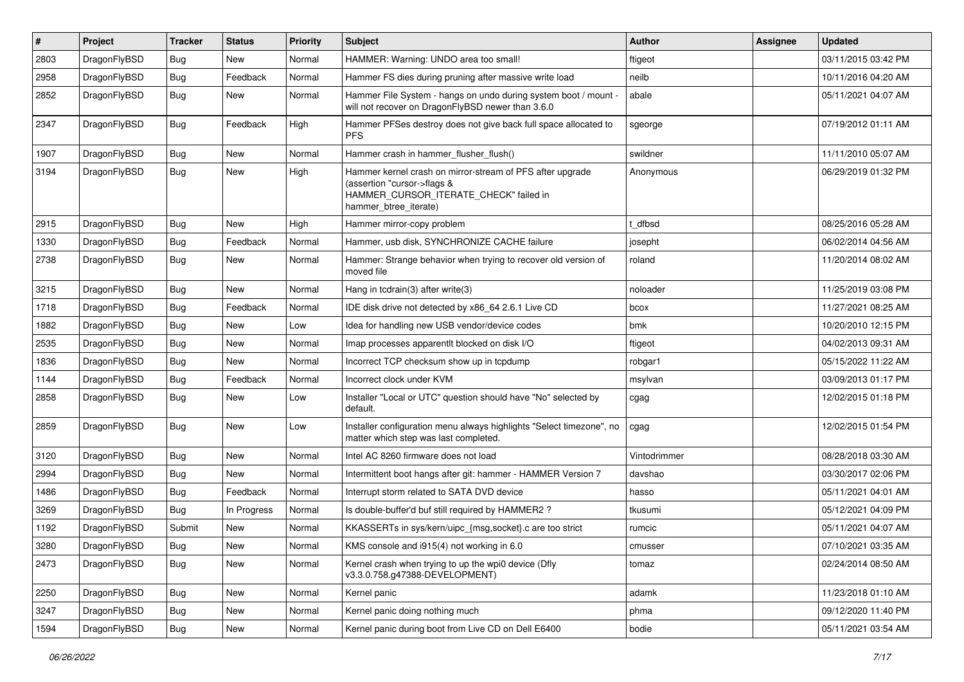| #    | Project      | <b>Tracker</b> | <b>Status</b> | <b>Priority</b> | Subject                                                                                                                                                     | <b>Author</b> | Assignee | <b>Updated</b>      |
|------|--------------|----------------|---------------|-----------------|-------------------------------------------------------------------------------------------------------------------------------------------------------------|---------------|----------|---------------------|
| 2803 | DragonFlyBSD | Bug            | <b>New</b>    | Normal          | HAMMER: Warning: UNDO area too small!                                                                                                                       | ftigeot       |          | 03/11/2015 03:42 PM |
| 2958 | DragonFlyBSD | Bug            | Feedback      | Normal          | Hammer FS dies during pruning after massive write load                                                                                                      | neilb         |          | 10/11/2016 04:20 AM |
| 2852 | DragonFlyBSD | Bug            | New           | Normal          | Hammer File System - hangs on undo during system boot / mount -<br>will not recover on DragonFlyBSD newer than 3.6.0                                        | abale         |          | 05/11/2021 04:07 AM |
| 2347 | DragonFlyBSD | <b>Bug</b>     | Feedback      | High            | Hammer PFSes destroy does not give back full space allocated to<br><b>PFS</b>                                                                               | sgeorge       |          | 07/19/2012 01:11 AM |
| 1907 | DragonFlyBSD | Bug            | <b>New</b>    | Normal          | Hammer crash in hammer_flusher_flush()                                                                                                                      | swildner      |          | 11/11/2010 05:07 AM |
| 3194 | DragonFlyBSD | Bug            | <b>New</b>    | High            | Hammer kernel crash on mirror-stream of PFS after upgrade<br>(assertion "cursor->flags &<br>HAMMER_CURSOR_ITERATE_CHECK" failed in<br>hammer_btree_iterate) | Anonymous     |          | 06/29/2019 01:32 PM |
| 2915 | DragonFlyBSD | <b>Bug</b>     | <b>New</b>    | High            | Hammer mirror-copy problem                                                                                                                                  | t dfbsd       |          | 08/25/2016 05:28 AM |
| 1330 | DragonFlyBSD | Bug            | Feedback      | Normal          | Hammer, usb disk, SYNCHRONIZE CACHE failure                                                                                                                 | josepht       |          | 06/02/2014 04:56 AM |
| 2738 | DragonFlyBSD | Bug            | New           | Normal          | Hammer: Strange behavior when trying to recover old version of<br>moved file                                                                                | roland        |          | 11/20/2014 08:02 AM |
| 3215 | DragonFlyBSD | Bug            | <b>New</b>    | Normal          | Hang in tcdrain(3) after write(3)                                                                                                                           | noloader      |          | 11/25/2019 03:08 PM |
| 1718 | DragonFlyBSD | Bug            | Feedback      | Normal          | IDE disk drive not detected by x86 64 2.6.1 Live CD                                                                                                         | bcox          |          | 11/27/2021 08:25 AM |
| 1882 | DragonFlyBSD | <b>Bug</b>     | <b>New</b>    | Low             | Idea for handling new USB vendor/device codes                                                                                                               | bmk           |          | 10/20/2010 12:15 PM |
| 2535 | DragonFlyBSD | <b>Bug</b>     | New           | Normal          | Imap processes apparentlt blocked on disk I/O                                                                                                               | ftigeot       |          | 04/02/2013 09:31 AM |
| 1836 | DragonFlyBSD | <b>Bug</b>     | New           | Normal          | Incorrect TCP checksum show up in tcpdump                                                                                                                   | robgar1       |          | 05/15/2022 11:22 AM |
| 1144 | DragonFlyBSD | Bug            | Feedback      | Normal          | Incorrect clock under KVM                                                                                                                                   | msylvan       |          | 03/09/2013 01:17 PM |
| 2858 | DragonFlyBSD | <b>Bug</b>     | New           | Low             | Installer "Local or UTC" question should have "No" selected by<br>default.                                                                                  | cgag          |          | 12/02/2015 01:18 PM |
| 2859 | DragonFlyBSD | Bug            | <b>New</b>    | Low             | Installer configuration menu always highlights "Select timezone", no<br>matter which step was last completed.                                               | cgag          |          | 12/02/2015 01:54 PM |
| 3120 | DragonFlyBSD | Bug            | <b>New</b>    | Normal          | Intel AC 8260 firmware does not load                                                                                                                        | Vintodrimmer  |          | 08/28/2018 03:30 AM |
| 2994 | DragonFlyBSD | <b>Bug</b>     | New           | Normal          | Intermittent boot hangs after git: hammer - HAMMER Version 7                                                                                                | davshao       |          | 03/30/2017 02:06 PM |
| 1486 | DragonFlyBSD | <b>Bug</b>     | Feedback      | Normal          | Interrupt storm related to SATA DVD device                                                                                                                  | hasso         |          | 05/11/2021 04:01 AM |
| 3269 | DragonFlyBSD | Bug            | In Progress   | Normal          | Is double-buffer'd buf still required by HAMMER2 ?                                                                                                          | tkusumi       |          | 05/12/2021 04:09 PM |
| 1192 | DragonFlyBSD | Submit         | New           | Normal          | KKASSERTs in sys/kern/uipc_{msg,socket}.c are too strict                                                                                                    | rumcic        |          | 05/11/2021 04:07 AM |
| 3280 | DragonFlyBSD | <b>Bug</b>     | New           | Normal          | KMS console and i915(4) not working in 6.0                                                                                                                  | cmusser       |          | 07/10/2021 03:35 AM |
| 2473 | DragonFlyBSD | Bug            | New           | Normal          | Kernel crash when trying to up the wpi0 device (Dfly<br>v3.3.0.758.g47388-DEVELOPMENT)                                                                      | tomaz         |          | 02/24/2014 08:50 AM |
| 2250 | DragonFlyBSD | <b>Bug</b>     | <b>New</b>    | Normal          | Kernel panic                                                                                                                                                | adamk         |          | 11/23/2018 01:10 AM |
| 3247 | DragonFlyBSD | <b>Bug</b>     | New           | Normal          | Kernel panic doing nothing much                                                                                                                             | phma          |          | 09/12/2020 11:40 PM |
| 1594 | DragonFlyBSD | <b>Bug</b>     | New           | Normal          | Kernel panic during boot from Live CD on Dell E6400                                                                                                         | bodie         |          | 05/11/2021 03:54 AM |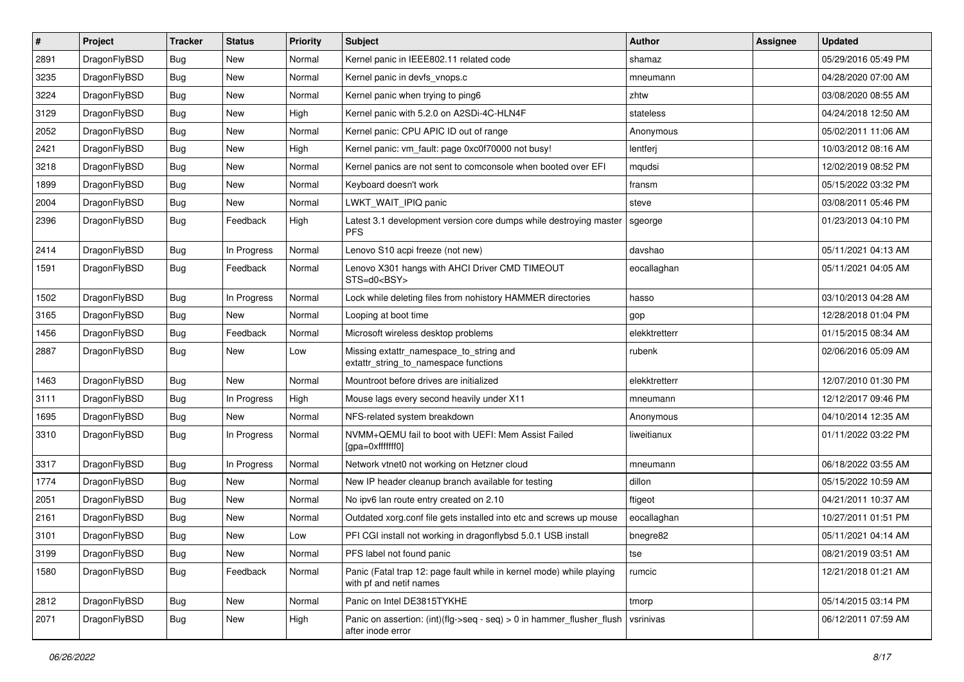| $\sharp$ | Project      | <b>Tracker</b> | <b>Status</b> | <b>Priority</b> | Subject                                                                                         | Author        | Assignee | <b>Updated</b>      |
|----------|--------------|----------------|---------------|-----------------|-------------------------------------------------------------------------------------------------|---------------|----------|---------------------|
| 2891     | DragonFlyBSD | <b>Bug</b>     | New           | Normal          | Kernel panic in IEEE802.11 related code                                                         | shamaz        |          | 05/29/2016 05:49 PM |
| 3235     | DragonFlyBSD | Bug            | New           | Normal          | Kernel panic in devfs vnops.c                                                                   | mneumann      |          | 04/28/2020 07:00 AM |
| 3224     | DragonFlyBSD | <b>Bug</b>     | New           | Normal          | Kernel panic when trying to ping6                                                               | zhtw          |          | 03/08/2020 08:55 AM |
| 3129     | DragonFlyBSD | <b>Bug</b>     | <b>New</b>    | High            | Kernel panic with 5.2.0 on A2SDi-4C-HLN4F                                                       | stateless     |          | 04/24/2018 12:50 AM |
| 2052     | DragonFlyBSD | Bug            | <b>New</b>    | Normal          | Kernel panic: CPU APIC ID out of range                                                          | Anonymous     |          | 05/02/2011 11:06 AM |
| 2421     | DragonFlyBSD | Bug            | <b>New</b>    | High            | Kernel panic: vm_fault: page 0xc0f70000 not busy!                                               | lentferj      |          | 10/03/2012 08:16 AM |
| 3218     | DragonFlyBSD | Bug            | New           | Normal          | Kernel panics are not sent to comconsole when booted over EFI                                   | mqudsi        |          | 12/02/2019 08:52 PM |
| 1899     | DragonFlyBSD | <b>Bug</b>     | <b>New</b>    | Normal          | Keyboard doesn't work                                                                           | fransm        |          | 05/15/2022 03:32 PM |
| 2004     | DragonFlyBSD | <b>Bug</b>     | New           | Normal          | LWKT_WAIT_IPIQ panic                                                                            | steve         |          | 03/08/2011 05:46 PM |
| 2396     | DragonFlyBSD | <b>Bug</b>     | Feedback      | High            | Latest 3.1 development version core dumps while destroying master<br><b>PFS</b>                 | sgeorge       |          | 01/23/2013 04:10 PM |
| 2414     | DragonFlyBSD | Bug            | In Progress   | Normal          | Lenovo S10 acpi freeze (not new)                                                                | davshao       |          | 05/11/2021 04:13 AM |
| 1591     | DragonFlyBSD | Bug            | Feedback      | Normal          | Lenovo X301 hangs with AHCI Driver CMD TIMEOUT<br>STS=d0 <bsy></bsy>                            | eocallaghan   |          | 05/11/2021 04:05 AM |
| 1502     | DragonFlyBSD | Bug            | In Progress   | Normal          | Lock while deleting files from nohistory HAMMER directories                                     | hasso         |          | 03/10/2013 04:28 AM |
| 3165     | DragonFlyBSD | Bug            | New           | Normal          | Looping at boot time                                                                            | gop           |          | 12/28/2018 01:04 PM |
| 1456     | DragonFlyBSD | <b>Bug</b>     | Feedback      | Normal          | Microsoft wireless desktop problems                                                             | elekktretterr |          | 01/15/2015 08:34 AM |
| 2887     | DragonFlyBSD | Bug            | New           | Low             | Missing extattr_namespace_to_string and<br>extattr_string_to_namespace functions                | rubenk        |          | 02/06/2016 05:09 AM |
| 1463     | DragonFlyBSD | Bug            | <b>New</b>    | Normal          | Mountroot before drives are initialized                                                         | elekktretterr |          | 12/07/2010 01:30 PM |
| 3111     | DragonFlyBSD | Bug            | In Progress   | High            | Mouse lags every second heavily under X11                                                       | mneumann      |          | 12/12/2017 09:46 PM |
| 1695     | DragonFlyBSD | Bug            | New           | Normal          | NFS-related system breakdown                                                                    | Anonymous     |          | 04/10/2014 12:35 AM |
| 3310     | DragonFlyBSD | <b>Bug</b>     | In Progress   | Normal          | NVMM+QEMU fail to boot with UEFI: Mem Assist Failed<br>[gpa=0xfffffff0]                         | liweitianux   |          | 01/11/2022 03:22 PM |
| 3317     | DragonFlyBSD | Bug            | In Progress   | Normal          | Network vtnet0 not working on Hetzner cloud                                                     | mneumann      |          | 06/18/2022 03:55 AM |
| 1774     | DragonFlyBSD | Bug            | <b>New</b>    | Normal          | New IP header cleanup branch available for testing                                              | dillon        |          | 05/15/2022 10:59 AM |
| 2051     | DragonFlyBSD | <b>Bug</b>     | New           | Normal          | No ipv6 lan route entry created on 2.10                                                         | ftigeot       |          | 04/21/2011 10:37 AM |
| 2161     | DragonFlyBSD | <b>Bug</b>     | <b>New</b>    | Normal          | Outdated xorg.conf file gets installed into etc and screws up mouse                             | eocallaghan   |          | 10/27/2011 01:51 PM |
| 3101     | DragonFlyBSD | Bug            | New           | Low             | PFI CGI install not working in dragonflybsd 5.0.1 USB install                                   | bnegre82      |          | 05/11/2021 04:14 AM |
| 3199     | DragonFlyBSD | <b>Bug</b>     | New           | Normal          | PFS label not found panic                                                                       | tse           |          | 08/21/2019 03:51 AM |
| 1580     | DragonFlyBSD | <b>Bug</b>     | Feedback      | Normal          | Panic (Fatal trap 12: page fault while in kernel mode) while playing<br>with pf and netif names | rumcic        |          | 12/21/2018 01:21 AM |
| 2812     | DragonFlyBSD | Bug            | <b>New</b>    | Normal          | Panic on Intel DE3815TYKHE                                                                      | tmorp         |          | 05/14/2015 03:14 PM |
| 2071     | DragonFlyBSD | <b>Bug</b>     | New           | High            | Panic on assertion: (int)(flg->seq - seq) > 0 in hammer_flusher_flush<br>after inode error      | vsrinivas     |          | 06/12/2011 07:59 AM |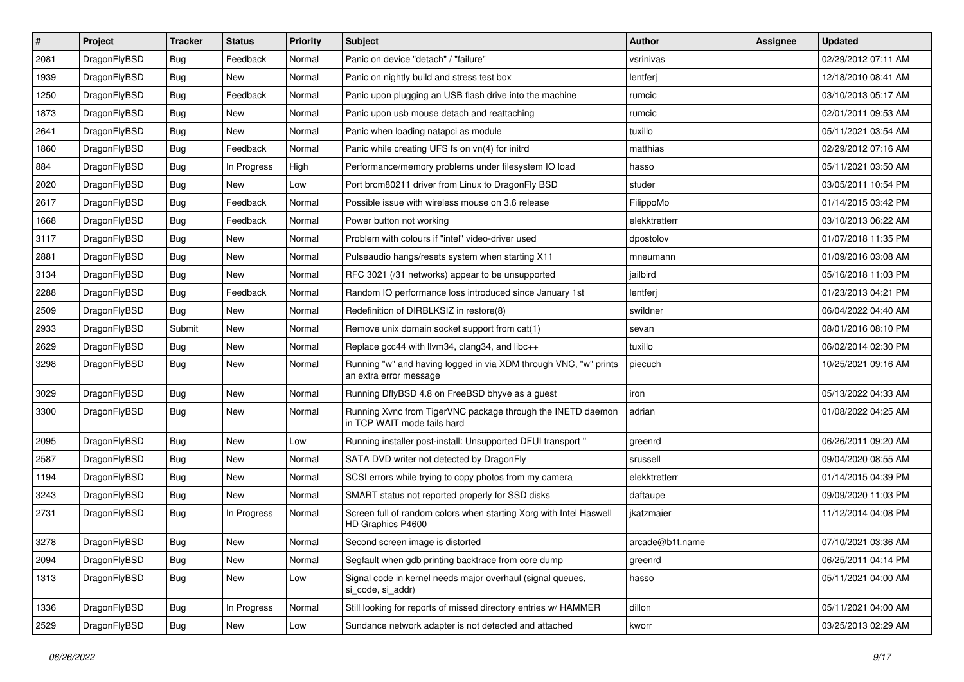| $\sharp$ | Project      | <b>Tracker</b> | <b>Status</b> | <b>Priority</b> | Subject                                                                                    | Author          | Assignee | <b>Updated</b>      |
|----------|--------------|----------------|---------------|-----------------|--------------------------------------------------------------------------------------------|-----------------|----------|---------------------|
| 2081     | DragonFlyBSD | <b>Bug</b>     | Feedback      | Normal          | Panic on device "detach" / "failure"                                                       | vsrinivas       |          | 02/29/2012 07:11 AM |
| 1939     | DragonFlyBSD | Bug            | <b>New</b>    | Normal          | Panic on nightly build and stress test box                                                 | lentferj        |          | 12/18/2010 08:41 AM |
| 1250     | DragonFlyBSD | <b>Bug</b>     | Feedback      | Normal          | Panic upon plugging an USB flash drive into the machine                                    | rumcic          |          | 03/10/2013 05:17 AM |
| 1873     | DragonFlyBSD | <b>Bug</b>     | New           | Normal          | Panic upon usb mouse detach and reattaching                                                | rumcic          |          | 02/01/2011 09:53 AM |
| 2641     | DragonFlyBSD | Bug            | New           | Normal          | Panic when loading natapci as module                                                       | tuxillo         |          | 05/11/2021 03:54 AM |
| 1860     | DragonFlyBSD | <b>Bug</b>     | Feedback      | Normal          | Panic while creating UFS fs on vn(4) for initrd                                            | matthias        |          | 02/29/2012 07:16 AM |
| 884      | DragonFlyBSD | <b>Bug</b>     | In Progress   | High            | Performance/memory problems under filesystem IO load                                       | hasso           |          | 05/11/2021 03:50 AM |
| 2020     | DragonFlyBSD | <b>Bug</b>     | New           | Low             | Port brcm80211 driver from Linux to DragonFly BSD                                          | studer          |          | 03/05/2011 10:54 PM |
| 2617     | DragonFlyBSD | <b>Bug</b>     | Feedback      | Normal          | Possible issue with wireless mouse on 3.6 release                                          | FilippoMo       |          | 01/14/2015 03:42 PM |
| 1668     | DragonFlyBSD | Bug            | Feedback      | Normal          | Power button not working                                                                   | elekktretterr   |          | 03/10/2013 06:22 AM |
| 3117     | DragonFlyBSD | <b>Bug</b>     | New           | Normal          | Problem with colours if "intel" video-driver used                                          | dpostolov       |          | 01/07/2018 11:35 PM |
| 2881     | DragonFlyBSD | Bug            | <b>New</b>    | Normal          | Pulseaudio hangs/resets system when starting X11                                           | mneumann        |          | 01/09/2016 03:08 AM |
| 3134     | DragonFlyBSD | Bug            | New           | Normal          | RFC 3021 (/31 networks) appear to be unsupported                                           | jailbird        |          | 05/16/2018 11:03 PM |
| 2288     | DragonFlyBSD | Bug            | Feedback      | Normal          | Random IO performance loss introduced since January 1st                                    | lentferj        |          | 01/23/2013 04:21 PM |
| 2509     | DragonFlyBSD | Bug            | New           | Normal          | Redefinition of DIRBLKSIZ in restore(8)                                                    | swildner        |          | 06/04/2022 04:40 AM |
| 2933     | DragonFlyBSD | Submit         | New           | Normal          | Remove unix domain socket support from cat(1)                                              | sevan           |          | 08/01/2016 08:10 PM |
| 2629     | DragonFlyBSD | Bug            | New           | Normal          | Replace gcc44 with llvm34, clang34, and libc++                                             | tuxillo         |          | 06/02/2014 02:30 PM |
| 3298     | DragonFlyBSD | Bug            | New           | Normal          | Running "w" and having logged in via XDM through VNC, "w" prints<br>an extra error message | piecuch         |          | 10/25/2021 09:16 AM |
| 3029     | DragonFlyBSD | Bug            | New           | Normal          | Running DflyBSD 4.8 on FreeBSD bhyve as a guest                                            | iron            |          | 05/13/2022 04:33 AM |
| 3300     | DragonFlyBSD | Bug            | <b>New</b>    | Normal          | Running Xvnc from TigerVNC package through the INETD daemon<br>in TCP WAIT mode fails hard | adrian          |          | 01/08/2022 04:25 AM |
| 2095     | DragonFlyBSD | Bug            | New           | Low             | Running installer post-install: Unsupported DFUI transport "                               | greenrd         |          | 06/26/2011 09:20 AM |
| 2587     | DragonFlyBSD | Bug            | New           | Normal          | SATA DVD writer not detected by DragonFly                                                  | srussell        |          | 09/04/2020 08:55 AM |
| 1194     | DragonFlyBSD | Bug            | <b>New</b>    | Normal          | SCSI errors while trying to copy photos from my camera                                     | elekktretterr   |          | 01/14/2015 04:39 PM |
| 3243     | DragonFlyBSD | Bug            | New           | Normal          | SMART status not reported properly for SSD disks                                           | daftaupe        |          | 09/09/2020 11:03 PM |
| 2731     | DragonFlyBSD | Bug            | In Progress   | Normal          | Screen full of random colors when starting Xorg with Intel Haswell<br>HD Graphics P4600    | jkatzmaier      |          | 11/12/2014 04:08 PM |
| 3278     | DragonFlyBSD | Bug            | New           | Normal          | Second screen image is distorted                                                           | arcade@b1t.name |          | 07/10/2021 03:36 AM |
| 2094     | DragonFlyBSD | <b>Bug</b>     | <b>New</b>    | Normal          | Segfault when gdb printing backtrace from core dump                                        | greenrd         |          | 06/25/2011 04:14 PM |
| 1313     | DragonFlyBSD | Bug            | New           | Low             | Signal code in kernel needs major overhaul (signal queues,<br>si_code, si_addr)            | hasso           |          | 05/11/2021 04:00 AM |
| 1336     | DragonFlyBSD | <b>Bug</b>     | In Progress   | Normal          | Still looking for reports of missed directory entries w/ HAMMER                            | dillon          |          | 05/11/2021 04:00 AM |
| 2529     | DragonFlyBSD | <b>Bug</b>     | New           | Low             | Sundance network adapter is not detected and attached                                      | kworr           |          | 03/25/2013 02:29 AM |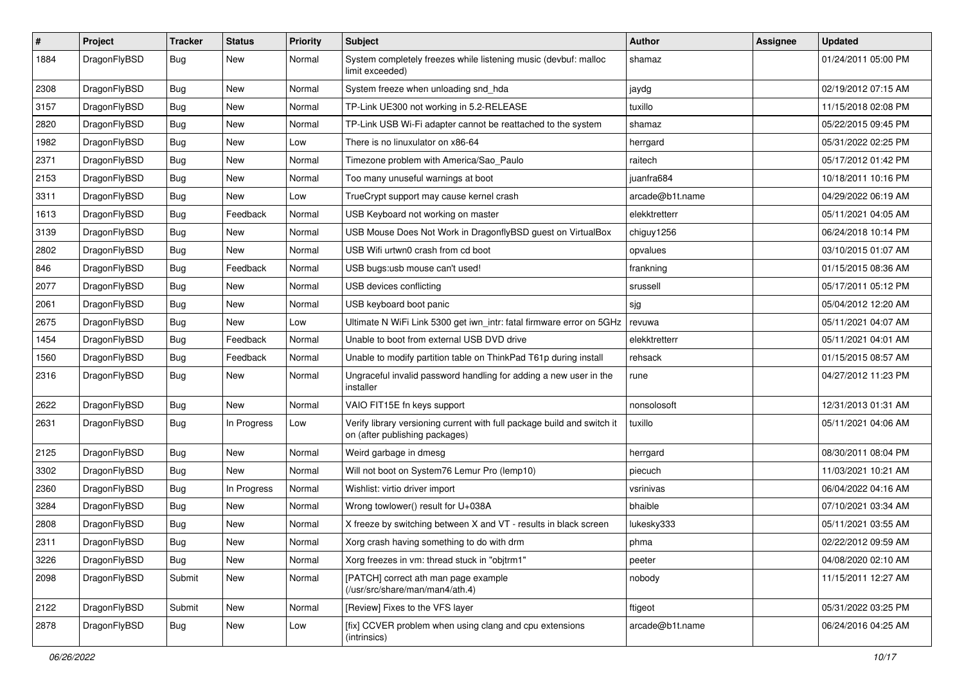| $\sharp$ | Project      | <b>Tracker</b> | <b>Status</b> | <b>Priority</b> | Subject                                                                                                   | Author          | Assignee | <b>Updated</b>      |
|----------|--------------|----------------|---------------|-----------------|-----------------------------------------------------------------------------------------------------------|-----------------|----------|---------------------|
| 1884     | DragonFlyBSD | Bug            | New           | Normal          | System completely freezes while listening music (devbuf: malloc<br>limit exceeded)                        | shamaz          |          | 01/24/2011 05:00 PM |
| 2308     | DragonFlyBSD | Bug            | <b>New</b>    | Normal          | System freeze when unloading snd_hda                                                                      | jaydg           |          | 02/19/2012 07:15 AM |
| 3157     | DragonFlyBSD | <b>Bug</b>     | New           | Normal          | TP-Link UE300 not working in 5.2-RELEASE                                                                  | tuxillo         |          | 11/15/2018 02:08 PM |
| 2820     | DragonFlyBSD | Bug            | <b>New</b>    | Normal          | TP-Link USB Wi-Fi adapter cannot be reattached to the system                                              | shamaz          |          | 05/22/2015 09:45 PM |
| 1982     | DragonFlyBSD | <b>Bug</b>     | New           | Low             | There is no linuxulator on x86-64                                                                         | herrgard        |          | 05/31/2022 02:25 PM |
| 2371     | DragonFlyBSD | <b>Bug</b>     | New           | Normal          | Timezone problem with America/Sao_Paulo                                                                   | raitech         |          | 05/17/2012 01:42 PM |
| 2153     | DragonFlyBSD | <b>Bug</b>     | New           | Normal          | Too many unuseful warnings at boot                                                                        | juanfra684      |          | 10/18/2011 10:16 PM |
| 3311     | DragonFlyBSD | <b>Bug</b>     | New           | Low             | TrueCrypt support may cause kernel crash                                                                  | arcade@b1t.name |          | 04/29/2022 06:19 AM |
| 1613     | DragonFlyBSD | Bug            | Feedback      | Normal          | USB Keyboard not working on master                                                                        | elekktretterr   |          | 05/11/2021 04:05 AM |
| 3139     | DragonFlyBSD | <b>Bug</b>     | New           | Normal          | USB Mouse Does Not Work in DragonflyBSD guest on VirtualBox                                               | chiguy1256      |          | 06/24/2018 10:14 PM |
| 2802     | DragonFlyBSD | <b>Bug</b>     | New           | Normal          | USB Wifi urtwn0 crash from cd boot                                                                        | opvalues        |          | 03/10/2015 01:07 AM |
| 846      | DragonFlyBSD | <b>Bug</b>     | Feedback      | Normal          | USB bugs:usb mouse can't used!                                                                            | frankning       |          | 01/15/2015 08:36 AM |
| 2077     | DragonFlyBSD | <b>Bug</b>     | <b>New</b>    | Normal          | USB devices conflicting                                                                                   | srussell        |          | 05/17/2011 05:12 PM |
| 2061     | DragonFlyBSD | <b>Bug</b>     | New           | Normal          | USB keyboard boot panic                                                                                   | sjg             |          | 05/04/2012 12:20 AM |
| 2675     | DragonFlyBSD | <b>Bug</b>     | <b>New</b>    | Low             | Ultimate N WiFi Link 5300 get iwn_intr: fatal firmware error on 5GHz                                      | revuwa          |          | 05/11/2021 04:07 AM |
| 1454     | DragonFlyBSD | <b>Bug</b>     | Feedback      | Normal          | Unable to boot from external USB DVD drive                                                                | elekktretterr   |          | 05/11/2021 04:01 AM |
| 1560     | DragonFlyBSD | <b>Bug</b>     | Feedback      | Normal          | Unable to modify partition table on ThinkPad T61p during install                                          | rehsack         |          | 01/15/2015 08:57 AM |
| 2316     | DragonFlyBSD | <b>Bug</b>     | <b>New</b>    | Normal          | Ungraceful invalid password handling for adding a new user in the<br>installer                            | rune            |          | 04/27/2012 11:23 PM |
| 2622     | DragonFlyBSD | <b>Bug</b>     | <b>New</b>    | Normal          | VAIO FIT15E fn keys support                                                                               | nonsolosoft     |          | 12/31/2013 01:31 AM |
| 2631     | DragonFlyBSD | <b>Bug</b>     | In Progress   | Low             | Verify library versioning current with full package build and switch it<br>on (after publishing packages) | tuxillo         |          | 05/11/2021 04:06 AM |
| 2125     | DragonFlyBSD | <b>Bug</b>     | New           | Normal          | Weird garbage in dmesg                                                                                    | herrgard        |          | 08/30/2011 08:04 PM |
| 3302     | DragonFlyBSD | <b>Bug</b>     | New           | Normal          | Will not boot on System76 Lemur Pro (lemp10)                                                              | piecuch         |          | 11/03/2021 10:21 AM |
| 2360     | DragonFlyBSD | Bug            | In Progress   | Normal          | Wishlist: virtio driver import                                                                            | vsrinivas       |          | 06/04/2022 04:16 AM |
| 3284     | DragonFlyBSD | <b>Bug</b>     | New           | Normal          | Wrong towlower() result for U+038A                                                                        | bhaible         |          | 07/10/2021 03:34 AM |
| 2808     | DragonFlyBSD | <b>Bug</b>     | New           | Normal          | X freeze by switching between X and VT - results in black screen                                          | lukesky333      |          | 05/11/2021 03:55 AM |
| 2311     | DragonFlyBSD | Bug            | <b>New</b>    | Normal          | Xorg crash having something to do with drm                                                                | phma            |          | 02/22/2012 09:59 AM |
| 3226     | DragonFlyBSD | <b>Bug</b>     | New           | Normal          | Xorg freezes in vm: thread stuck in "objtrm1"                                                             | peeter          |          | 04/08/2020 02:10 AM |
| 2098     | DragonFlyBSD | Submit         | <b>New</b>    | Normal          | [PATCH] correct ath man page example<br>(/usr/src/share/man/man4/ath.4)                                   | nobody          |          | 11/15/2011 12:27 AM |
| 2122     | DragonFlyBSD | Submit         | New           | Normal          | [Review] Fixes to the VFS layer                                                                           | ftigeot         |          | 05/31/2022 03:25 PM |
| 2878     | DragonFlyBSD | <b>Bug</b>     | New           | Low             | [fix] CCVER problem when using clang and cpu extensions<br>(intrinsics)                                   | arcade@b1t.name |          | 06/24/2016 04:25 AM |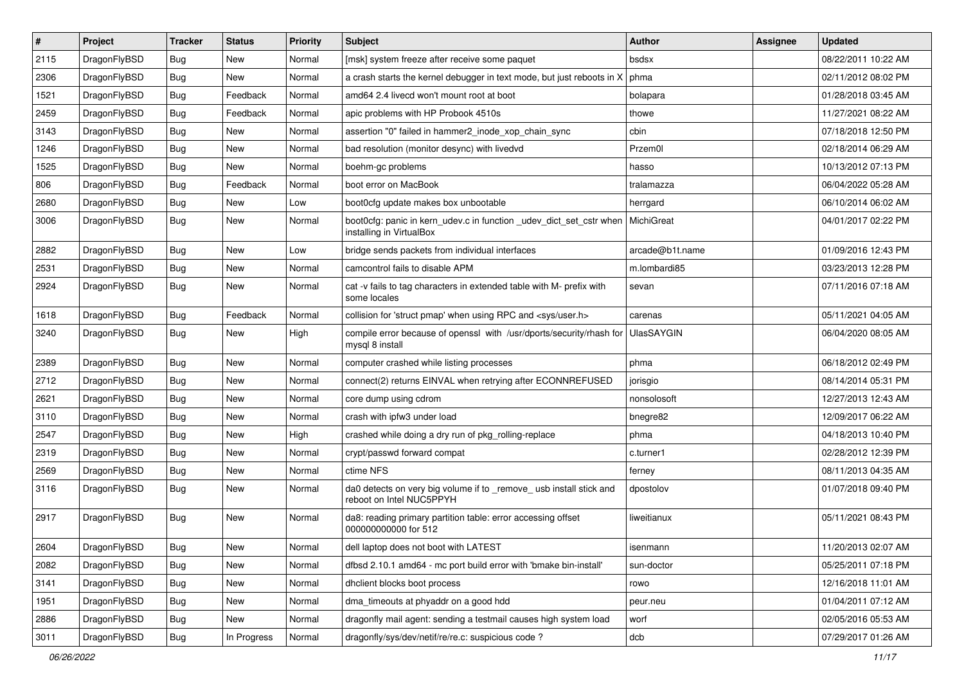| $\pmb{\#}$ | Project      | <b>Tracker</b> | <b>Status</b> | <b>Priority</b> | Subject                                                                                         | Author            | Assignee | <b>Updated</b>      |
|------------|--------------|----------------|---------------|-----------------|-------------------------------------------------------------------------------------------------|-------------------|----------|---------------------|
| 2115       | DragonFlyBSD | Bug            | New           | Normal          | [msk] system freeze after receive some paquet                                                   | bsdsx             |          | 08/22/2011 10:22 AM |
| 2306       | DragonFlyBSD | Bug            | <b>New</b>    | Normal          | a crash starts the kernel debugger in text mode, but just reboots in X                          | phma              |          | 02/11/2012 08:02 PM |
| 1521       | DragonFlyBSD | <b>Bug</b>     | Feedback      | Normal          | amd64 2.4 livecd won't mount root at boot                                                       | bolapara          |          | 01/28/2018 03:45 AM |
| 2459       | DragonFlyBSD | Bug            | Feedback      | Normal          | apic problems with HP Probook 4510s                                                             | thowe             |          | 11/27/2021 08:22 AM |
| 3143       | DragonFlyBSD | Bug            | <b>New</b>    | Normal          | assertion "0" failed in hammer2_inode_xop_chain_sync                                            | cbin              |          | 07/18/2018 12:50 PM |
| 1246       | DragonFlyBSD | <b>Bug</b>     | New           | Normal          | bad resolution (monitor desync) with livedvd                                                    | Przem0l           |          | 02/18/2014 06:29 AM |
| 1525       | DragonFlyBSD | Bug            | <b>New</b>    | Normal          | boehm-gc problems                                                                               | hasso             |          | 10/13/2012 07:13 PM |
| 806        | DragonFlyBSD | Bug            | Feedback      | Normal          | boot error on MacBook                                                                           | tralamazza        |          | 06/04/2022 05:28 AM |
| 2680       | DragonFlyBSD | Bug            | <b>New</b>    | Low             | boot0cfg update makes box unbootable                                                            | herrgard          |          | 06/10/2014 06:02 AM |
| 3006       | DragonFlyBSD | Bug            | New           | Normal          | boot0cfg: panic in kern_udev.c in function _udev_dict_set_cstr when<br>installing in VirtualBox | MichiGreat        |          | 04/01/2017 02:22 PM |
| 2882       | DragonFlyBSD | Bug            | <b>New</b>    | Low             | bridge sends packets from individual interfaces                                                 | arcade@b1t.name   |          | 01/09/2016 12:43 PM |
| 2531       | DragonFlyBSD | Bug            | <b>New</b>    | Normal          | camcontrol fails to disable APM                                                                 | m.lombardi85      |          | 03/23/2013 12:28 PM |
| 2924       | DragonFlyBSD | Bug            | New           | Normal          | cat -v fails to tag characters in extended table with M- prefix with<br>some locales            | sevan             |          | 07/11/2016 07:18 AM |
| 1618       | DragonFlyBSD | Bug            | Feedback      | Normal          | collision for 'struct pmap' when using RPC and <sys user.h=""></sys>                            | carenas           |          | 05/11/2021 04:05 AM |
| 3240       | DragonFlyBSD | Bug            | New           | High            | compile error because of openssl with /usr/dports/security/rhash for<br>mysql 8 install         | <b>UlasSAYGIN</b> |          | 06/04/2020 08:05 AM |
| 2389       | DragonFlyBSD | <b>Bug</b>     | <b>New</b>    | Normal          | computer crashed while listing processes                                                        | phma              |          | 06/18/2012 02:49 PM |
| 2712       | DragonFlyBSD | <b>Bug</b>     | New           | Normal          | connect(2) returns EINVAL when retrying after ECONNREFUSED                                      | jorisgio          |          | 08/14/2014 05:31 PM |
| 2621       | DragonFlyBSD | Bug            | <b>New</b>    | Normal          | core dump using cdrom                                                                           | nonsolosoft       |          | 12/27/2013 12:43 AM |
| 3110       | DragonFlyBSD | <b>Bug</b>     | New           | Normal          | crash with ipfw3 under load                                                                     | bnegre82          |          | 12/09/2017 06:22 AM |
| 2547       | DragonFlyBSD | Bug            | <b>New</b>    | High            | crashed while doing a dry run of pkg_rolling-replace                                            | phma              |          | 04/18/2013 10:40 PM |
| 2319       | DragonFlyBSD | <b>Bug</b>     | New           | Normal          | crypt/passwd forward compat                                                                     | c.turner1         |          | 02/28/2012 12:39 PM |
| 2569       | DragonFlyBSD | Bug            | New           | Normal          | ctime NFS                                                                                       | ferney            |          | 08/11/2013 04:35 AM |
| 3116       | DragonFlyBSD | Bug            | <b>New</b>    | Normal          | da0 detects on very big volume if to _remove_ usb install stick and<br>reboot on Intel NUC5PPYH | dpostolov         |          | 01/07/2018 09:40 PM |
| 2917       | DragonFlyBSD | Bug            | New           | Normal          | da8: reading primary partition table: error accessing offset<br>000000000000 for 512            | liweitianux       |          | 05/11/2021 08:43 PM |
| 2604       | DragonFlyBSD | <b>Bug</b>     | New           | Normal          | dell laptop does not boot with LATEST                                                           | isenmann          |          | 11/20/2013 02:07 AM |
| 2082       | DragonFlyBSD | Bug            | <b>New</b>    | Normal          | dfbsd 2.10.1 amd64 - mc port build error with 'bmake bin-install'                               | sun-doctor        |          | 05/25/2011 07:18 PM |
| 3141       | DragonFlyBSD | <b>Bug</b>     | New           | Normal          | dhclient blocks boot process                                                                    | rowo              |          | 12/16/2018 11:01 AM |
| 1951       | DragonFlyBSD | <b>Bug</b>     | New           | Normal          | dma timeouts at phyaddr on a good hdd                                                           | peur.neu          |          | 01/04/2011 07:12 AM |
| 2886       | DragonFlyBSD | Bug            | New           | Normal          | dragonfly mail agent: sending a testmail causes high system load                                | worf              |          | 02/05/2016 05:53 AM |
| 3011       | DragonFlyBSD | Bug            | In Progress   | Normal          | dragonfly/sys/dev/netif/re/re.c: suspicious code?                                               | dcb               |          | 07/29/2017 01:26 AM |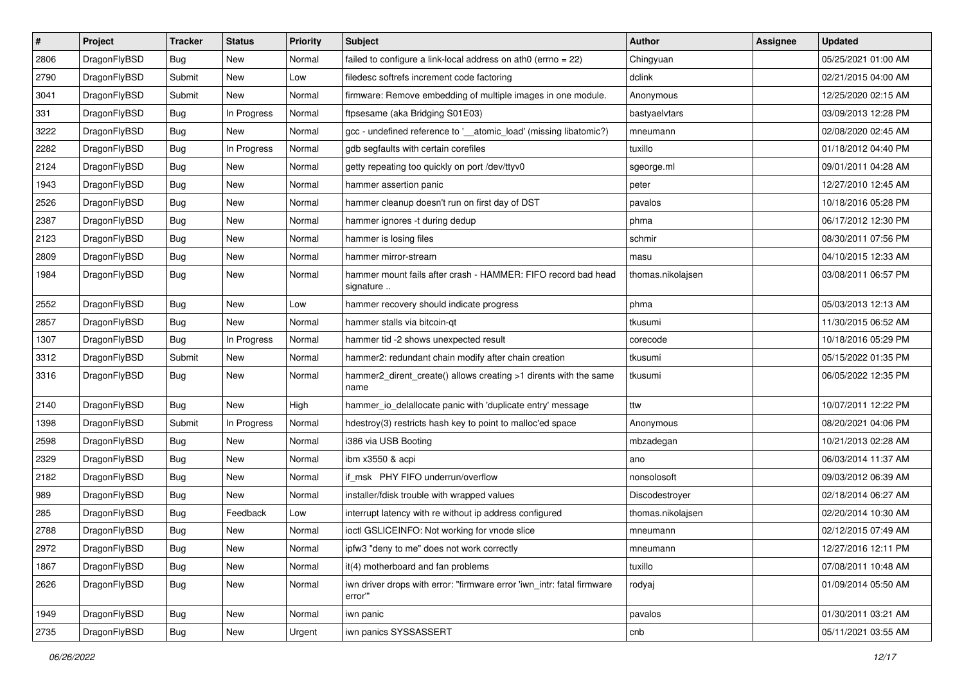| $\sharp$ | Project      | <b>Tracker</b> | <b>Status</b> | <b>Priority</b> | Subject                                                                           | Author            | Assignee | <b>Updated</b>      |
|----------|--------------|----------------|---------------|-----------------|-----------------------------------------------------------------------------------|-------------------|----------|---------------------|
| 2806     | DragonFlyBSD | Bug            | <b>New</b>    | Normal          | failed to configure a link-local address on ath0 (errno = 22)                     | Chingyuan         |          | 05/25/2021 01:00 AM |
| 2790     | DragonFlyBSD | Submit         | New           | Low             | filedesc softrefs increment code factoring                                        | dclink            |          | 02/21/2015 04:00 AM |
| 3041     | DragonFlyBSD | Submit         | New           | Normal          | firmware: Remove embedding of multiple images in one module.                      | Anonymous         |          | 12/25/2020 02:15 AM |
| 331      | DragonFlyBSD | Bug            | In Progress   | Normal          | ftpsesame (aka Bridging S01E03)                                                   | bastyaelvtars     |          | 03/09/2013 12:28 PM |
| 3222     | DragonFlyBSD | Bug            | <b>New</b>    | Normal          | gcc - undefined reference to '__atomic_load' (missing libatomic?)                 | mneumann          |          | 02/08/2020 02:45 AM |
| 2282     | DragonFlyBSD | <b>Bug</b>     | In Progress   | Normal          | gdb segfaults with certain corefiles                                              | tuxillo           |          | 01/18/2012 04:40 PM |
| 2124     | DragonFlyBSD | Bug            | New           | Normal          | getty repeating too quickly on port /dev/ttyv0                                    | sgeorge.ml        |          | 09/01/2011 04:28 AM |
| 1943     | DragonFlyBSD | <b>Bug</b>     | <b>New</b>    | Normal          | hammer assertion panic                                                            | peter             |          | 12/27/2010 12:45 AM |
| 2526     | DragonFlyBSD | <b>Bug</b>     | <b>New</b>    | Normal          | hammer cleanup doesn't run on first day of DST                                    | pavalos           |          | 10/18/2016 05:28 PM |
| 2387     | DragonFlyBSD | Bug            | New           | Normal          | hammer ignores -t during dedup                                                    | phma              |          | 06/17/2012 12:30 PM |
| 2123     | DragonFlyBSD | <b>Bug</b>     | New           | Normal          | hammer is losing files                                                            | schmir            |          | 08/30/2011 07:56 PM |
| 2809     | DragonFlyBSD | Bug            | <b>New</b>    | Normal          | hammer mirror-stream                                                              | masu              |          | 04/10/2015 12:33 AM |
| 1984     | DragonFlyBSD | Bug            | <b>New</b>    | Normal          | hammer mount fails after crash - HAMMER: FIFO record bad head<br>signature        | thomas.nikolajsen |          | 03/08/2011 06:57 PM |
| 2552     | DragonFlyBSD | Bug            | New           | Low             | hammer recovery should indicate progress                                          | phma              |          | 05/03/2013 12:13 AM |
| 2857     | DragonFlyBSD | <b>Bug</b>     | <b>New</b>    | Normal          | hammer stalls via bitcoin-qt                                                      | tkusumi           |          | 11/30/2015 06:52 AM |
| 1307     | DragonFlyBSD | Bug            | In Progress   | Normal          | hammer tid -2 shows unexpected result                                             | corecode          |          | 10/18/2016 05:29 PM |
| 3312     | DragonFlyBSD | Submit         | New           | Normal          | hammer2: redundant chain modify after chain creation                              | tkusumi           |          | 05/15/2022 01:35 PM |
| 3316     | DragonFlyBSD | Bug            | <b>New</b>    | Normal          | hammer2_dirent_create() allows creating >1 dirents with the same<br>name          | tkusumi           |          | 06/05/2022 12:35 PM |
| 2140     | DragonFlyBSD | Bug            | <b>New</b>    | High            | hammer_io_delallocate panic with 'duplicate entry' message                        | ttw               |          | 10/07/2011 12:22 PM |
| 1398     | DragonFlyBSD | Submit         | In Progress   | Normal          | hdestroy(3) restricts hash key to point to malloc'ed space                        | Anonymous         |          | 08/20/2021 04:06 PM |
| 2598     | DragonFlyBSD | Bug            | New           | Normal          | i386 via USB Booting                                                              | mbzadegan         |          | 10/21/2013 02:28 AM |
| 2329     | DragonFlyBSD | <b>Bug</b>     | New           | Normal          | ibm x3550 & acpi                                                                  | ano               |          | 06/03/2014 11:37 AM |
| 2182     | DragonFlyBSD | Bug            | New           | Normal          | if_msk PHY FIFO underrun/overflow                                                 | nonsolosoft       |          | 09/03/2012 06:39 AM |
| 989      | DragonFlyBSD | Bug            | New           | Normal          | installer/fdisk trouble with wrapped values                                       | Discodestroyer    |          | 02/18/2014 06:27 AM |
| 285      | DragonFlyBSD | Bug            | Feedback      | Low             | interrupt latency with re without ip address configured                           | thomas.nikolajsen |          | 02/20/2014 10:30 AM |
| 2788     | DragonFlyBSD | <b>Bug</b>     | New           | Normal          | ioctl GSLICEINFO: Not working for vnode slice                                     | mneumann          |          | 02/12/2015 07:49 AM |
| 2972     | DragonFlyBSD | <b>Bug</b>     | New           | Normal          | ipfw3 "deny to me" does not work correctly                                        | mneumann          |          | 12/27/2016 12:11 PM |
| 1867     | DragonFlyBSD | <b>Bug</b>     | New           | Normal          | it(4) motherboard and fan problems                                                | tuxillo           |          | 07/08/2011 10:48 AM |
| 2626     | DragonFlyBSD | <b>Bug</b>     | New           | Normal          | iwn driver drops with error: "firmware error 'iwn_intr: fatal firmware<br>error"" | rodyaj            |          | 01/09/2014 05:50 AM |
| 1949     | DragonFlyBSD | Bug            | <b>New</b>    | Normal          | iwn panic                                                                         | pavalos           |          | 01/30/2011 03:21 AM |
| 2735     | DragonFlyBSD | <b>Bug</b>     | New           | Urgent          | iwn panics SYSSASSERT                                                             | cnb               |          | 05/11/2021 03:55 AM |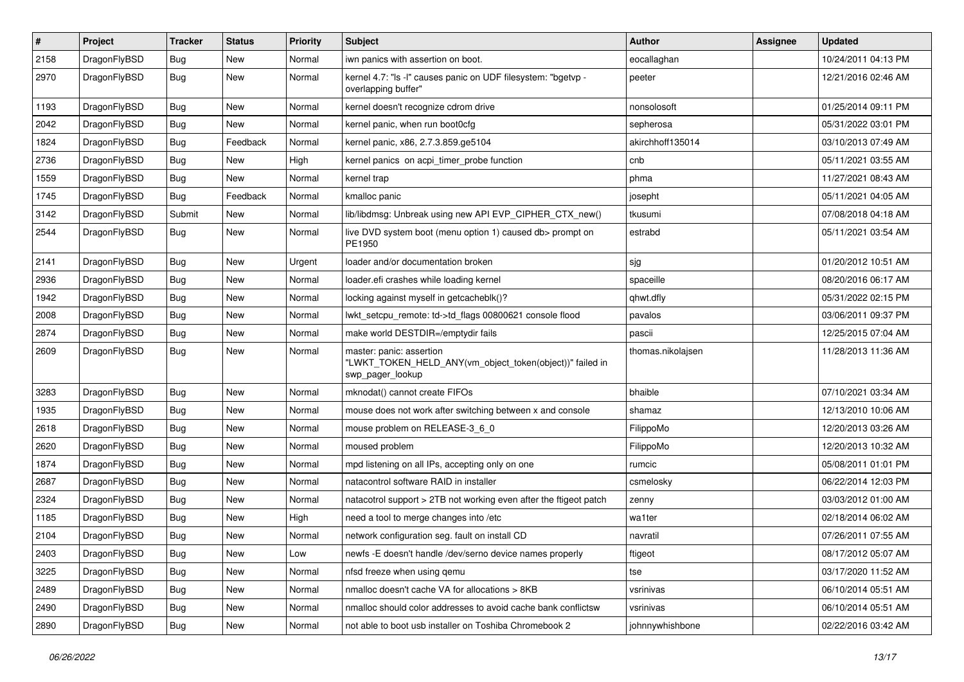| $\sharp$ | Project      | <b>Tracker</b> | <b>Status</b> | <b>Priority</b> | Subject                                                                                                  | Author            | Assignee | <b>Updated</b>      |
|----------|--------------|----------------|---------------|-----------------|----------------------------------------------------------------------------------------------------------|-------------------|----------|---------------------|
| 2158     | DragonFlyBSD | Bug            | <b>New</b>    | Normal          | iwn panics with assertion on boot.                                                                       | eocallaghan       |          | 10/24/2011 04:13 PM |
| 2970     | DragonFlyBSD | Bug            | New           | Normal          | kernel 4.7: "Is -I" causes panic on UDF filesystem: "bgetvp -<br>overlapping buffer"                     | peeter            |          | 12/21/2016 02:46 AM |
| 1193     | DragonFlyBSD | Bug            | <b>New</b>    | Normal          | kernel doesn't recognize cdrom drive                                                                     | nonsolosoft       |          | 01/25/2014 09:11 PM |
| 2042     | DragonFlyBSD | Bug            | <b>New</b>    | Normal          | kernel panic, when run boot0cfg                                                                          | sepherosa         |          | 05/31/2022 03:01 PM |
| 1824     | DragonFlyBSD | Bug            | Feedback      | Normal          | kernel panic, x86, 2.7.3.859.ge5104                                                                      | akirchhoff135014  |          | 03/10/2013 07:49 AM |
| 2736     | DragonFlyBSD | Bug            | <b>New</b>    | High            | kernel panics on acpi_timer_probe function                                                               | cnb               |          | 05/11/2021 03:55 AM |
| 1559     | DragonFlyBSD | <b>Bug</b>     | New           | Normal          | kernel trap                                                                                              | phma              |          | 11/27/2021 08:43 AM |
| 1745     | DragonFlyBSD | <b>Bug</b>     | Feedback      | Normal          | kmalloc panic                                                                                            | josepht           |          | 05/11/2021 04:05 AM |
| 3142     | DragonFlyBSD | Submit         | <b>New</b>    | Normal          | lib/libdmsg: Unbreak using new API EVP_CIPHER_CTX_new()                                                  | tkusumi           |          | 07/08/2018 04:18 AM |
| 2544     | DragonFlyBSD | Bug            | <b>New</b>    | Normal          | live DVD system boot (menu option 1) caused db> prompt on<br>PE1950                                      | estrabd           |          | 05/11/2021 03:54 AM |
| 2141     | DragonFlyBSD | Bug            | <b>New</b>    | Urgent          | loader and/or documentation broken                                                                       | sjg               |          | 01/20/2012 10:51 AM |
| 2936     | DragonFlyBSD | Bug            | New           | Normal          | loader.efi crashes while loading kernel                                                                  | spaceille         |          | 08/20/2016 06:17 AM |
| 1942     | DragonFlyBSD | Bug            | New           | Normal          | locking against myself in getcacheblk()?                                                                 | qhwt.dfly         |          | 05/31/2022 02:15 PM |
| 2008     | DragonFlyBSD | <b>Bug</b>     | New           | Normal          | lwkt_setcpu_remote: td->td_flags 00800621 console flood                                                  | pavalos           |          | 03/06/2011 09:37 PM |
| 2874     | DragonFlyBSD | <b>Bug</b>     | New           | Normal          | make world DESTDIR=/emptydir fails                                                                       | pascii            |          | 12/25/2015 07:04 AM |
| 2609     | DragonFlyBSD | <b>Bug</b>     | New           | Normal          | master: panic: assertion<br>"LWKT_TOKEN_HELD_ANY(vm_object_token(object))" failed in<br>swp_pager_lookup | thomas.nikolajsen |          | 11/28/2013 11:36 AM |
| 3283     | DragonFlyBSD | Bug            | New           | Normal          | mknodat() cannot create FIFOs                                                                            | bhaible           |          | 07/10/2021 03:34 AM |
| 1935     | DragonFlyBSD | Bug            | <b>New</b>    | Normal          | mouse does not work after switching between x and console                                                | shamaz            |          | 12/13/2010 10:06 AM |
| 2618     | DragonFlyBSD | Bug            | New           | Normal          | mouse problem on RELEASE-3_6_0                                                                           | FilippoMo         |          | 12/20/2013 03:26 AM |
| 2620     | DragonFlyBSD | <b>Bug</b>     | <b>New</b>    | Normal          | moused problem                                                                                           | FilippoMo         |          | 12/20/2013 10:32 AM |
| 1874     | DragonFlyBSD | <b>Bug</b>     | New           | Normal          | mpd listening on all IPs, accepting only on one                                                          | rumcic            |          | 05/08/2011 01:01 PM |
| 2687     | DragonFlyBSD | Bug            | <b>New</b>    | Normal          | natacontrol software RAID in installer                                                                   | csmelosky         |          | 06/22/2014 12:03 PM |
| 2324     | DragonFlyBSD | <b>Bug</b>     | New           | Normal          | natacotrol support > 2TB not working even after the ftigeot patch                                        | zenny             |          | 03/03/2012 01:00 AM |
| 1185     | DragonFlyBSD | <b>Bug</b>     | <b>New</b>    | High            | need a tool to merge changes into /etc                                                                   | wa1ter            |          | 02/18/2014 06:02 AM |
| 2104     | DragonFlyBSD | Bug            | New           | Normal          | network configuration seg. fault on install CD                                                           | navratil          |          | 07/26/2011 07:55 AM |
| 2403     | DragonFlyBSD | <b>Bug</b>     | New           | Low             | newfs -E doesn't handle /dev/serno device names properly                                                 | ftigeot           |          | 08/17/2012 05:07 AM |
| 3225     | DragonFlyBSD | <b>Bug</b>     | New           | Normal          | nfsd freeze when using qemu                                                                              | tse               |          | 03/17/2020 11:52 AM |
| 2489     | DragonFlyBSD | <b>Bug</b>     | New           | Normal          | nmalloc doesn't cache VA for allocations > 8KB                                                           | vsrinivas         |          | 06/10/2014 05:51 AM |
| 2490     | DragonFlyBSD | <b>Bug</b>     | New           | Normal          | nmalloc should color addresses to avoid cache bank conflictsw                                            | vsrinivas         |          | 06/10/2014 05:51 AM |
| 2890     | DragonFlyBSD | <b>Bug</b>     | New           | Normal          | not able to boot usb installer on Toshiba Chromebook 2                                                   | johnnywhishbone   |          | 02/22/2016 03:42 AM |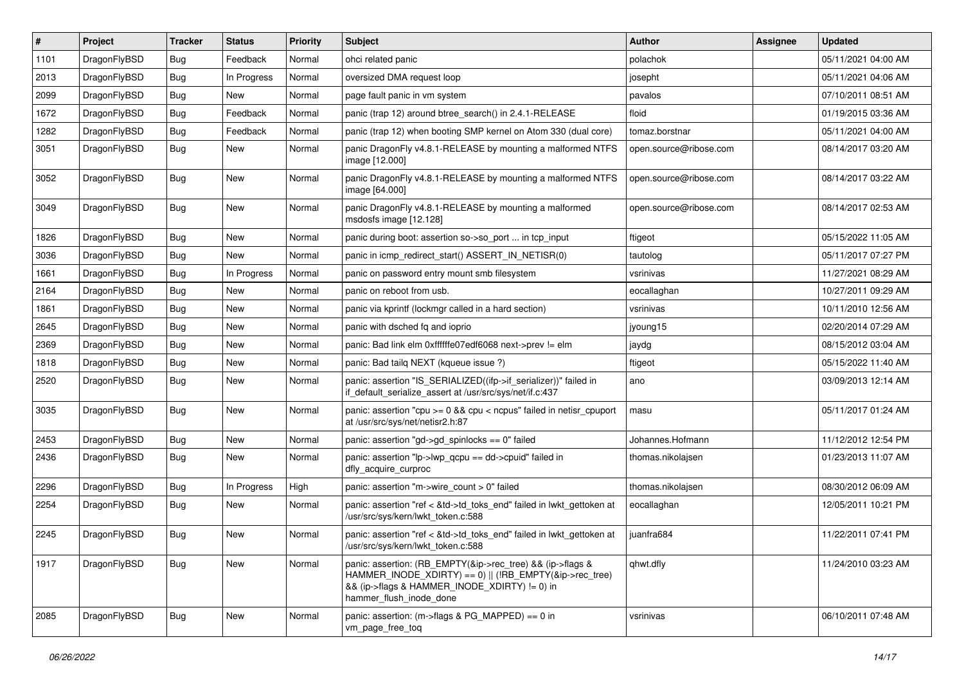| $\vert$ # | Project      | <b>Tracker</b> | <b>Status</b> | <b>Priority</b> | Subject                                                                                                                                                                                           | <b>Author</b>          | Assignee | <b>Updated</b>      |
|-----------|--------------|----------------|---------------|-----------------|---------------------------------------------------------------------------------------------------------------------------------------------------------------------------------------------------|------------------------|----------|---------------------|
| 1101      | DragonFlyBSD | Bug            | Feedback      | Normal          | ohci related panic                                                                                                                                                                                | polachok               |          | 05/11/2021 04:00 AM |
| 2013      | DragonFlyBSD | Bug            | In Progress   | Normal          | oversized DMA request loop                                                                                                                                                                        | josepht                |          | 05/11/2021 04:06 AM |
| 2099      | DragonFlyBSD | <b>Bug</b>     | <b>New</b>    | Normal          | page fault panic in vm system                                                                                                                                                                     | pavalos                |          | 07/10/2011 08:51 AM |
| 1672      | DragonFlyBSD | <b>Bug</b>     | Feedback      | Normal          | panic (trap 12) around btree_search() in 2.4.1-RELEASE                                                                                                                                            | floid                  |          | 01/19/2015 03:36 AM |
| 1282      | DragonFlyBSD | <b>Bug</b>     | Feedback      | Normal          | panic (trap 12) when booting SMP kernel on Atom 330 (dual core)                                                                                                                                   | tomaz.borstnar         |          | 05/11/2021 04:00 AM |
| 3051      | DragonFlyBSD | Bug            | New           | Normal          | panic DragonFly v4.8.1-RELEASE by mounting a malformed NTFS<br>image [12.000]                                                                                                                     | open.source@ribose.com |          | 08/14/2017 03:20 AM |
| 3052      | DragonFlyBSD | Bug            | <b>New</b>    | Normal          | panic DragonFly v4.8.1-RELEASE by mounting a malformed NTFS<br>image [64.000]                                                                                                                     | open.source@ribose.com |          | 08/14/2017 03:22 AM |
| 3049      | DragonFlyBSD | <b>Bug</b>     | New           | Normal          | panic DragonFly v4.8.1-RELEASE by mounting a malformed<br>msdosfs image [12.128]                                                                                                                  | open.source@ribose.com |          | 08/14/2017 02:53 AM |
| 1826      | DragonFlyBSD | <b>Bug</b>     | New           | Normal          | panic during boot: assertion so->so_port  in tcp_input                                                                                                                                            | ftigeot                |          | 05/15/2022 11:05 AM |
| 3036      | DragonFlyBSD | <b>Bug</b>     | <b>New</b>    | Normal          | panic in icmp_redirect_start() ASSERT_IN_NETISR(0)                                                                                                                                                | tautolog               |          | 05/11/2017 07:27 PM |
| 1661      | DragonFlyBSD | <b>Bug</b>     | In Progress   | Normal          | panic on password entry mount smb filesystem                                                                                                                                                      | vsrinivas              |          | 11/27/2021 08:29 AM |
| 2164      | DragonFlyBSD | Bug            | New           | Normal          | panic on reboot from usb.                                                                                                                                                                         | eocallaghan            |          | 10/27/2011 09:29 AM |
| 1861      | DragonFlyBSD | <b>Bug</b>     | New           | Normal          | panic via kprintf (lockmgr called in a hard section)                                                                                                                                              | vsrinivas              |          | 10/11/2010 12:56 AM |
| 2645      | DragonFlyBSD | <b>Bug</b>     | New           | Normal          | panic with dsched fq and ioprio                                                                                                                                                                   | jyoung15               |          | 02/20/2014 07:29 AM |
| 2369      | DragonFlyBSD | Bug            | New           | Normal          | panic: Bad link elm 0xffffffe07edf6068 next->prev != elm                                                                                                                                          | jaydg                  |          | 08/15/2012 03:04 AM |
| 1818      | DragonFlyBSD | <b>Bug</b>     | New           | Normal          | panic: Bad tailq NEXT (kqueue issue ?)                                                                                                                                                            | ftigeot                |          | 05/15/2022 11:40 AM |
| 2520      | DragonFlyBSD | Bug            | New           | Normal          | panic: assertion "IS_SERIALIZED((ifp->if_serializer))" failed in<br>if_default_serialize_assert at /usr/src/sys/net/if.c:437                                                                      | ano                    |          | 03/09/2013 12:14 AM |
| 3035      | DragonFlyBSD | Bug            | New           | Normal          | panic: assertion "cpu $>= 0$ && cpu < ncpus" failed in netisr cpuport<br>at /usr/src/sys/net/netisr2.h:87                                                                                         | masu                   |          | 05/11/2017 01:24 AM |
| 2453      | DragonFlyBSD | <b>Bug</b>     | New           | Normal          | panic: assertion "gd->gd_spinlocks == 0" failed                                                                                                                                                   | Johannes.Hofmann       |          | 11/12/2012 12:54 PM |
| 2436      | DragonFlyBSD | Bug            | New           | Normal          | panic: assertion "lp->lwp_qcpu == dd->cpuid" failed in<br>dfly_acquire_curproc                                                                                                                    | thomas.nikolajsen      |          | 01/23/2013 11:07 AM |
| 2296      | DragonFlyBSD | <b>Bug</b>     | In Progress   | High            | panic: assertion "m->wire count > 0" failed                                                                                                                                                       | thomas.nikolajsen      |          | 08/30/2012 06:09 AM |
| 2254      | DragonFlyBSD | Bug            | New           | Normal          | panic: assertion "ref < &td->td_toks_end" failed in lwkt_gettoken at<br>/usr/src/sys/kern/lwkt_token.c:588                                                                                        | eocallaghan            |          | 12/05/2011 10:21 PM |
| 2245      | DragonFlyBSD | <b>Bug</b>     | New           | Normal          | panic: assertion "ref < &td->td toks end" failed in lwkt gettoken at<br>/usr/src/sys/kern/lwkt_token.c:588                                                                                        | juanfra684             |          | 11/22/2011 07:41 PM |
| 1917      | DragonFlyBSD | <b>Bug</b>     | New           | Normal          | panic: assertion: (RB EMPTY(&ip->rec tree) && (ip->flags &<br>HAMMER_INODE_XDIRTY) == 0)    (!RB_EMPTY(&ip->rec_tree)<br>&& (ip->flags & HAMMER_INODE_XDIRTY) != 0) in<br>hammer_flush_inode_done | qhwt.dfly              |          | 11/24/2010 03:23 AM |
| 2085      | DragonFlyBSD | <b>Bug</b>     | New           | Normal          | panic: assertion: (m->flags & PG_MAPPED) == 0 in<br>vm_page_free_toq                                                                                                                              | vsrinivas              |          | 06/10/2011 07:48 AM |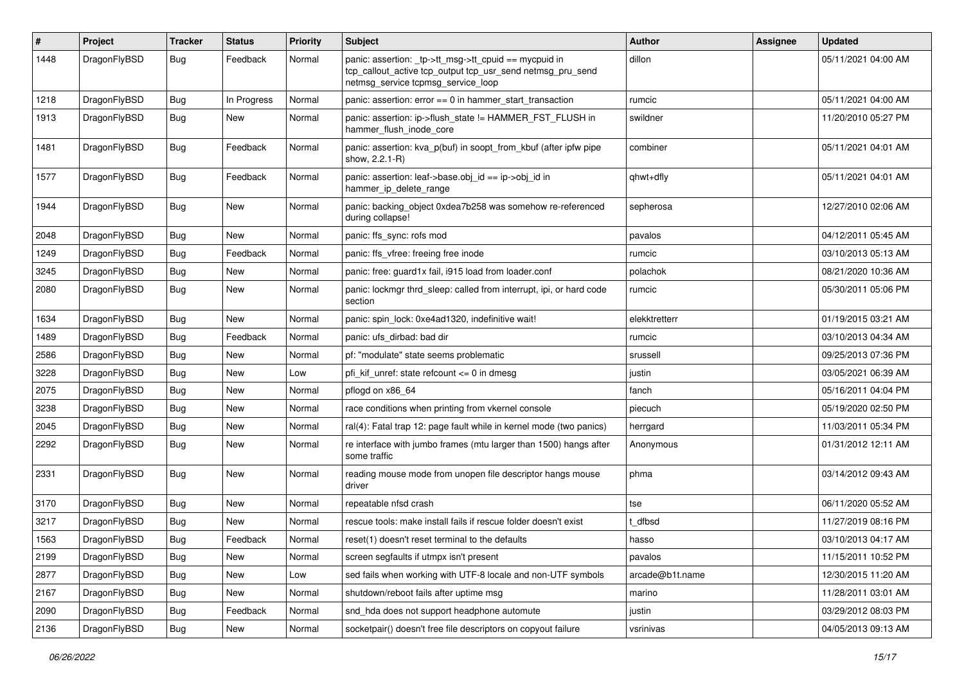| $\pmb{\#}$ | Project      | Tracker    | <b>Status</b> | <b>Priority</b> | Subject                                                                                                                                                   | Author          | <b>Assignee</b> | <b>Updated</b>      |
|------------|--------------|------------|---------------|-----------------|-----------------------------------------------------------------------------------------------------------------------------------------------------------|-----------------|-----------------|---------------------|
| 1448       | DragonFlyBSD | Bug        | Feedback      | Normal          | panic: assertion: _tp->tt_msg->tt_cpuid == mycpuid in<br>tcp_callout_active tcp_output tcp_usr_send netmsg_pru_send<br>netmsg_service tcpmsg_service_loop | dillon          |                 | 05/11/2021 04:00 AM |
| 1218       | DragonFlyBSD | <b>Bug</b> | In Progress   | Normal          | panic: assertion: $error == 0$ in hammer start transaction                                                                                                | rumcic          |                 | 05/11/2021 04:00 AM |
| 1913       | DragonFlyBSD | Bug        | New           | Normal          | panic: assertion: ip->flush_state != HAMMER_FST_FLUSH in<br>hammer flush inode core                                                                       | swildner        |                 | 11/20/2010 05:27 PM |
| 1481       | DragonFlyBSD | Bug        | Feedback      | Normal          | panic: assertion: kva_p(buf) in soopt_from_kbuf (after ipfw pipe<br>show, 2.2.1-R)                                                                        | combiner        |                 | 05/11/2021 04:01 AM |
| 1577       | DragonFlyBSD | Bug        | Feedback      | Normal          | panic: assertion: leaf->base.obj_id == ip->obj_id in<br>hammer ip delete range                                                                            | qhwt+dfly       |                 | 05/11/2021 04:01 AM |
| 1944       | DragonFlyBSD | Bug        | New           | Normal          | panic: backing object 0xdea7b258 was somehow re-referenced<br>during collapse!                                                                            | sepherosa       |                 | 12/27/2010 02:06 AM |
| 2048       | DragonFlyBSD | <b>Bug</b> | <b>New</b>    | Normal          | panic: ffs_sync: rofs mod                                                                                                                                 | pavalos         |                 | 04/12/2011 05:45 AM |
| 1249       | DragonFlyBSD | Bug        | Feedback      | Normal          | panic: ffs vfree: freeing free inode                                                                                                                      | rumcic          |                 | 03/10/2013 05:13 AM |
| 3245       | DragonFlyBSD | Bug        | <b>New</b>    | Normal          | panic: free: guard1x fail, i915 load from loader.conf                                                                                                     | polachok        |                 | 08/21/2020 10:36 AM |
| 2080       | DragonFlyBSD | <b>Bug</b> | New           | Normal          | panic: lockmgr thrd sleep: called from interrupt, ipi, or hard code<br>section                                                                            | rumcic          |                 | 05/30/2011 05:06 PM |
| 1634       | DragonFlyBSD | Bug        | <b>New</b>    | Normal          | panic: spin_lock: 0xe4ad1320, indefinitive wait!                                                                                                          | elekktretterr   |                 | 01/19/2015 03:21 AM |
| 1489       | DragonFlyBSD | <b>Bug</b> | Feedback      | Normal          | panic: ufs dirbad: bad dir                                                                                                                                | rumcic          |                 | 03/10/2013 04:34 AM |
| 2586       | DragonFlyBSD | Bug        | New           | Normal          | pf: "modulate" state seems problematic                                                                                                                    | srussell        |                 | 09/25/2013 07:36 PM |
| 3228       | DragonFlyBSD | Bug        | <b>New</b>    | Low             | pfi kif unref: state refcount $\leq$ 0 in dmesg                                                                                                           | justin          |                 | 03/05/2021 06:39 AM |
| 2075       | DragonFlyBSD | <b>Bug</b> | New           | Normal          | pflogd on x86 64                                                                                                                                          | fanch           |                 | 05/16/2011 04:04 PM |
| 3238       | DragonFlyBSD | Bug        | <b>New</b>    | Normal          | race conditions when printing from vkernel console                                                                                                        | piecuch         |                 | 05/19/2020 02:50 PM |
| 2045       | DragonFlyBSD | <b>Bug</b> | New           | Normal          | ral(4): Fatal trap 12: page fault while in kernel mode (two panics)                                                                                       | herrgard        |                 | 11/03/2011 05:34 PM |
| 2292       | DragonFlyBSD | Bug        | New           | Normal          | re interface with jumbo frames (mtu larger than 1500) hangs after<br>some traffic                                                                         | Anonymous       |                 | 01/31/2012 12:11 AM |
| 2331       | DragonFlyBSD | Bug        | <b>New</b>    | Normal          | reading mouse mode from unopen file descriptor hangs mouse<br>driver                                                                                      | phma            |                 | 03/14/2012 09:43 AM |
| 3170       | DragonFlyBSD | <b>Bug</b> | <b>New</b>    | Normal          | repeatable nfsd crash                                                                                                                                     | tse             |                 | 06/11/2020 05:52 AM |
| 3217       | DragonFlyBSD | Bug        | New           | Normal          | rescue tools: make install fails if rescue folder doesn't exist                                                                                           | t dfbsd         |                 | 11/27/2019 08:16 PM |
| 1563       | DragonFlyBSD | Bug        | Feedback      | Normal          | reset(1) doesn't reset terminal to the defaults                                                                                                           | hasso           |                 | 03/10/2013 04:17 AM |
| 2199       | DragonFlyBSD | Bug        | New           | Normal          | screen segfaults if utmpx isn't present                                                                                                                   | pavalos         |                 | 11/15/2011 10:52 PM |
| 2877       | DragonFlyBSD | <b>Bug</b> | New           | Low             | sed fails when working with UTF-8 locale and non-UTF symbols                                                                                              | arcade@b1t.name |                 | 12/30/2015 11:20 AM |
| 2167       | DragonFlyBSD | <b>Bug</b> | New           | Normal          | shutdown/reboot fails after uptime msg                                                                                                                    | marino          |                 | 11/28/2011 03:01 AM |
| 2090       | DragonFlyBSD | <b>Bug</b> | Feedback      | Normal          | snd_hda does not support headphone automute                                                                                                               | justin          |                 | 03/29/2012 08:03 PM |
| 2136       | DragonFlyBSD | <b>Bug</b> | New           | Normal          | socketpair() doesn't free file descriptors on copyout failure                                                                                             | vsrinivas       |                 | 04/05/2013 09:13 AM |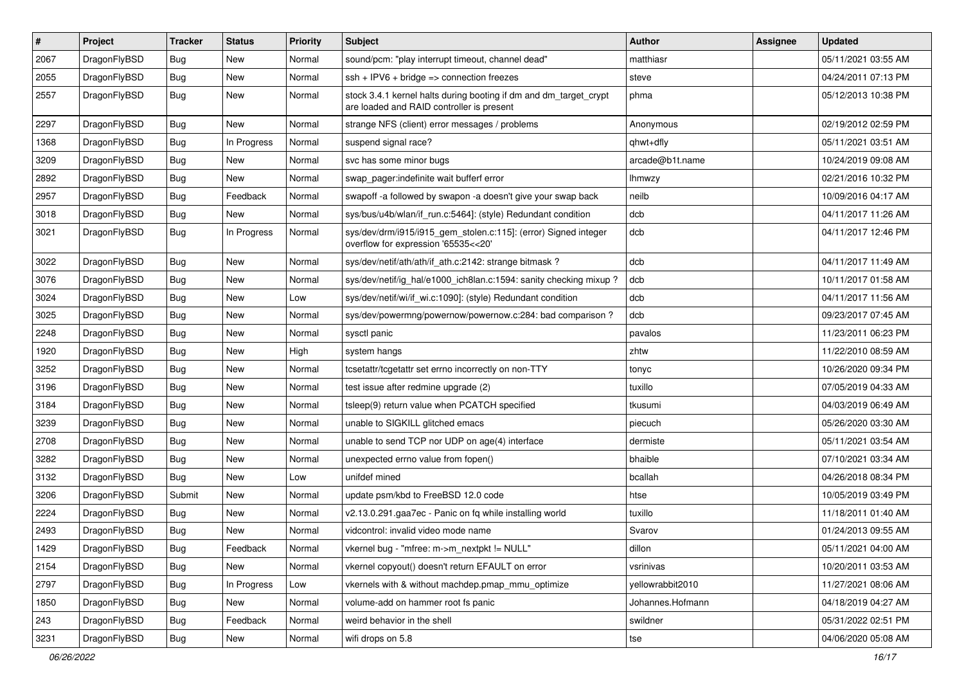| $\pmb{\#}$ | Project      | <b>Tracker</b> | <b>Status</b> | <b>Priority</b> | Subject                                                                                                        | Author           | Assignee | <b>Updated</b>      |
|------------|--------------|----------------|---------------|-----------------|----------------------------------------------------------------------------------------------------------------|------------------|----------|---------------------|
| 2067       | DragonFlyBSD | Bug            | New           | Normal          | sound/pcm: "play interrupt timeout, channel dead"                                                              | matthiasr        |          | 05/11/2021 03:55 AM |
| 2055       | DragonFlyBSD | Bug            | <b>New</b>    | Normal          | $ssh + IPV6 + bridge \Rightarrow connection freezes$                                                           | steve            |          | 04/24/2011 07:13 PM |
| 2557       | DragonFlyBSD | Bug            | New           | Normal          | stock 3.4.1 kernel halts during booting if dm and dm_target_crypt<br>are loaded and RAID controller is present | phma             |          | 05/12/2013 10:38 PM |
| 2297       | DragonFlyBSD | Bug            | <b>New</b>    | Normal          | strange NFS (client) error messages / problems                                                                 | Anonymous        |          | 02/19/2012 02:59 PM |
| 1368       | DragonFlyBSD | Bug            | In Progress   | Normal          | suspend signal race?                                                                                           | qhwt+dfly        |          | 05/11/2021 03:51 AM |
| 3209       | DragonFlyBSD | Bug            | <b>New</b>    | Normal          | svc has some minor bugs                                                                                        | arcade@b1t.name  |          | 10/24/2019 09:08 AM |
| 2892       | DragonFlyBSD | Bug            | New           | Normal          | swap pager:indefinite wait bufferf error                                                                       | lhmwzy           |          | 02/21/2016 10:32 PM |
| 2957       | DragonFlyBSD | Bug            | Feedback      | Normal          | swapoff -a followed by swapon -a doesn't give your swap back                                                   | neilb            |          | 10/09/2016 04:17 AM |
| 3018       | DragonFlyBSD | Bug            | <b>New</b>    | Normal          | sys/bus/u4b/wlan/if_run.c:5464]: (style) Redundant condition                                                   | dcb              |          | 04/11/2017 11:26 AM |
| 3021       | DragonFlyBSD | Bug            | In Progress   | Normal          | sys/dev/drm/i915/i915_gem_stolen.c:115]: (error) Signed integer<br>overflow for expression '65535<<20'         | dcb              |          | 04/11/2017 12:46 PM |
| 3022       | DragonFlyBSD | Bug            | <b>New</b>    | Normal          | sys/dev/netif/ath/ath/if_ath.c:2142: strange bitmask?                                                          | dcb              |          | 04/11/2017 11:49 AM |
| 3076       | DragonFlyBSD | Bug            | <b>New</b>    | Normal          | sys/dev/netif/ig hal/e1000 ich8lan.c:1594: sanity checking mixup?                                              | dcb              |          | 10/11/2017 01:58 AM |
| 3024       | DragonFlyBSD | Bug            | <b>New</b>    | Low             | sys/dev/netif/wi/if_wi.c:1090]: (style) Redundant condition                                                    | dcb              |          | 04/11/2017 11:56 AM |
| 3025       | DragonFlyBSD | Bug            | New           | Normal          | sys/dev/powermng/powernow/powernow.c:284: bad comparison?                                                      | dcb              |          | 09/23/2017 07:45 AM |
| 2248       | DragonFlyBSD | Bug            | New           | Normal          | sysctl panic                                                                                                   | pavalos          |          | 11/23/2011 06:23 PM |
| 1920       | DragonFlyBSD | Bug            | <b>New</b>    | High            | system hangs                                                                                                   | zhtw             |          | 11/22/2010 08:59 AM |
| 3252       | DragonFlyBSD | Bug            | New           | Normal          | tcsetattr/tcgetattr set errno incorrectly on non-TTY                                                           | tonyc            |          | 10/26/2020 09:34 PM |
| 3196       | DragonFlyBSD | Bug            | New           | Normal          | test issue after redmine upgrade (2)                                                                           | tuxillo          |          | 07/05/2019 04:33 AM |
| 3184       | DragonFlyBSD | Bug            | New           | Normal          | tsleep(9) return value when PCATCH specified                                                                   | tkusumi          |          | 04/03/2019 06:49 AM |
| 3239       | DragonFlyBSD | Bug            | <b>New</b>    | Normal          | unable to SIGKILL glitched emacs                                                                               | piecuch          |          | 05/26/2020 03:30 AM |
| 2708       | DragonFlyBSD | Bug            | New           | Normal          | unable to send TCP nor UDP on age(4) interface                                                                 | dermiste         |          | 05/11/2021 03:54 AM |
| 3282       | DragonFlyBSD | Bug            | New           | Normal          | unexpected errno value from fopen()                                                                            | bhaible          |          | 07/10/2021 03:34 AM |
| 3132       | DragonFlyBSD | Bug            | <b>New</b>    | Low             | unifdef mined                                                                                                  | bcallah          |          | 04/26/2018 08:34 PM |
| 3206       | DragonFlyBSD | Submit         | <b>New</b>    | Normal          | update psm/kbd to FreeBSD 12.0 code                                                                            | htse             |          | 10/05/2019 03:49 PM |
| 2224       | DragonFlyBSD | Bug            | New           | Normal          | v2.13.0.291.gaa7ec - Panic on fq while installing world                                                        | tuxillo          |          | 11/18/2011 01:40 AM |
| 2493       | DragonFlyBSD | Bug            | New           | Normal          | vidcontrol: invalid video mode name                                                                            | Svarov           |          | 01/24/2013 09:55 AM |
| 1429       | DragonFlyBSD | <b>Bug</b>     | Feedback      | Normal          | vkernel bug - "mfree: m->m_nextpkt != NULL"                                                                    | dillon           |          | 05/11/2021 04:00 AM |
| 2154       | DragonFlyBSD | <b>Bug</b>     | New           | Normal          | vkernel copyout() doesn't return EFAULT on error                                                               | vsrinivas        |          | 10/20/2011 03:53 AM |
| 2797       | DragonFlyBSD | Bug            | In Progress   | Low             | vkernels with & without machdep.pmap_mmu_optimize                                                              | yellowrabbit2010 |          | 11/27/2021 08:06 AM |
| 1850       | DragonFlyBSD | Bug            | New           | Normal          | volume-add on hammer root fs panic                                                                             | Johannes.Hofmann |          | 04/18/2019 04:27 AM |
| 243        | DragonFlyBSD | <b>Bug</b>     | Feedback      | Normal          | weird behavior in the shell                                                                                    | swildner         |          | 05/31/2022 02:51 PM |
| 3231       | DragonFlyBSD | Bug            | New           | Normal          | wifi drops on 5.8                                                                                              | tse              |          | 04/06/2020 05:08 AM |